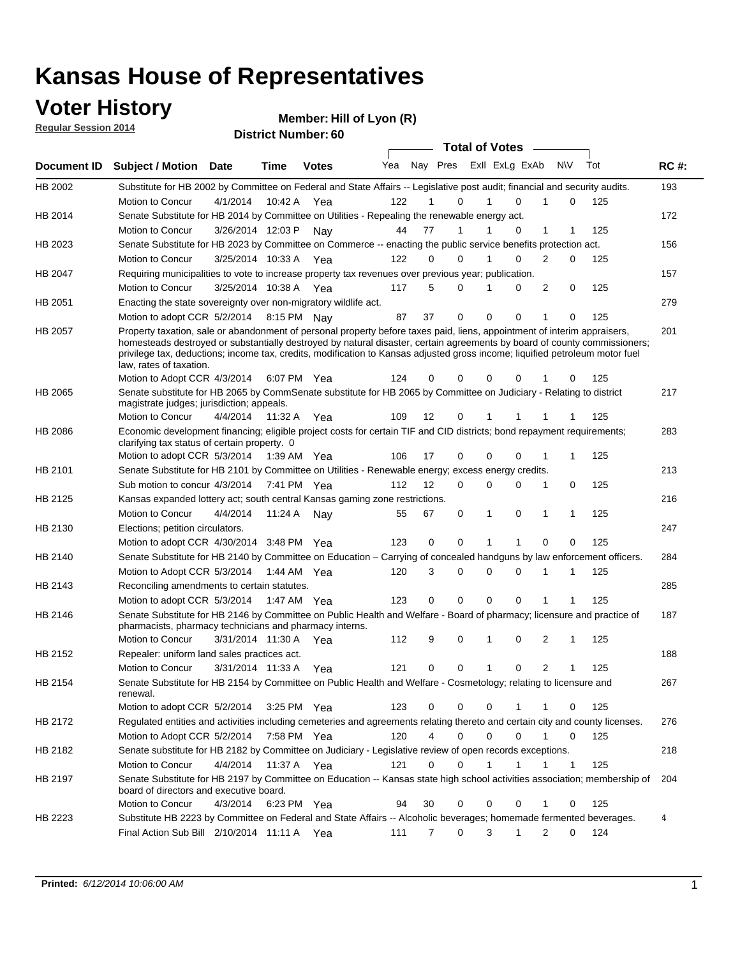### **Voter History**

**Regular Session 2014**

|                |                                                                                                                                                                                                                                                                                                                                                                                                                  |                       |             |              |     |                |             |              | <b>Total of Votes</b>   |                |     |     |             |
|----------------|------------------------------------------------------------------------------------------------------------------------------------------------------------------------------------------------------------------------------------------------------------------------------------------------------------------------------------------------------------------------------------------------------------------|-----------------------|-------------|--------------|-----|----------------|-------------|--------------|-------------------------|----------------|-----|-----|-------------|
| Document ID    | <b>Subject / Motion Date</b>                                                                                                                                                                                                                                                                                                                                                                                     |                       | Time        | <b>Votes</b> | Yea |                |             |              | Nay Pres Exll ExLg ExAb |                | N\V | Tot | <b>RC#:</b> |
| HB 2002        | Substitute for HB 2002 by Committee on Federal and State Affairs -- Legislative post audit; financial and security audits.                                                                                                                                                                                                                                                                                       |                       |             |              |     |                |             |              |                         |                |     |     | 193         |
|                | Motion to Concur                                                                                                                                                                                                                                                                                                                                                                                                 | 4/1/2014              | 10:42 A     | Yea          | 122 |                | $\Omega$    |              | $\Omega$                | 1              | 0   | 125 |             |
| HB 2014        | Senate Substitute for HB 2014 by Committee on Utilities - Repealing the renewable energy act.                                                                                                                                                                                                                                                                                                                    |                       |             |              |     |                |             |              |                         |                |     |     | 172         |
|                | Motion to Concur                                                                                                                                                                                                                                                                                                                                                                                                 | 3/26/2014 12:03 P     |             | Nav          | 44  | 77             | 1           |              | 0                       | 1              |     | 125 |             |
| HB 2023        | Senate Substitute for HB 2023 by Committee on Commerce -- enacting the public service benefits protection act.                                                                                                                                                                                                                                                                                                   |                       |             |              |     |                |             |              |                         |                |     |     | 156         |
|                | Motion to Concur                                                                                                                                                                                                                                                                                                                                                                                                 | 3/25/2014 10:33 A     |             | Yea          | 122 | 0              | $\Omega$    | 1            | $\Omega$                | 2              | 0   | 125 |             |
| HB 2047        | Requiring municipalities to vote to increase property tax revenues over previous year; publication.                                                                                                                                                                                                                                                                                                              |                       |             |              |     |                |             |              |                         |                |     |     | 157         |
|                | Motion to Concur                                                                                                                                                                                                                                                                                                                                                                                                 | 3/25/2014 10:38 A     |             | Yea          | 117 | 5              | $\Omega$    | 1            | $\Omega$                | 2              | 0   | 125 |             |
| HB 2051        | Enacting the state sovereignty over non-migratory wildlife act.                                                                                                                                                                                                                                                                                                                                                  |                       |             |              |     |                |             |              |                         |                |     |     | 279         |
|                | Motion to adopt CCR 5/2/2014 8:15 PM Nay                                                                                                                                                                                                                                                                                                                                                                         |                       |             |              | 87  | 37             | $\mathbf 0$ | $\mathbf 0$  | 0                       | 1              | 0   | 125 |             |
| HB 2057        | Property taxation, sale or abandonment of personal property before taxes paid, liens, appointment of interim appraisers,<br>homesteads destroyed or substantially destroyed by natural disaster, certain agreements by board of county commissioners;<br>privilege tax, deductions; income tax, credits, modification to Kansas adjusted gross income; liquified petroleum motor fuel<br>law, rates of taxation. |                       |             |              |     |                |             |              |                         |                |     |     | 201         |
|                | Motion to Adopt CCR 4/3/2014                                                                                                                                                                                                                                                                                                                                                                                     |                       |             | 6:07 PM Yea  | 124 | 0              | 0           | 0            | $\Omega$                |                | 0   | 125 |             |
| HB 2065        | Senate substitute for HB 2065 by CommSenate substitute for HB 2065 by Committee on Judiciary - Relating to district<br>magistrate judges; jurisdiction; appeals.                                                                                                                                                                                                                                                 |                       |             |              |     |                |             |              |                         |                |     |     | 217         |
|                | Motion to Concur                                                                                                                                                                                                                                                                                                                                                                                                 | 4/4/2014              | 11:32 A     | Yea          | 109 | 12             | 0           | 1            | 1                       | 1              |     | 125 |             |
| <b>HB 2086</b> | Economic development financing; eligible project costs for certain TIF and CID districts; bond repayment requirements;<br>clarifying tax status of certain property. 0                                                                                                                                                                                                                                           |                       |             |              |     |                |             |              |                         |                |     |     | 283         |
|                | Motion to adopt CCR 5/3/2014 1:39 AM Yea                                                                                                                                                                                                                                                                                                                                                                         |                       |             |              | 106 | 17             | 0           | $\mathbf 0$  | $\Omega$                | 1              |     | 125 |             |
| HB 2101        | Senate Substitute for HB 2101 by Committee on Utilities - Renewable energy; excess energy credits.                                                                                                                                                                                                                                                                                                               |                       |             |              |     |                |             |              |                         |                |     |     | 213         |
|                | Sub motion to concur 4/3/2014 7:41 PM Yea                                                                                                                                                                                                                                                                                                                                                                        |                       |             |              | 112 | 12             | 0           | 0            | 0                       | 1              | 0   | 125 |             |
| HB 2125        | Kansas expanded lottery act; south central Kansas gaming zone restrictions.                                                                                                                                                                                                                                                                                                                                      |                       |             |              |     |                |             |              |                         |                |     |     | 216         |
|                | Motion to Concur                                                                                                                                                                                                                                                                                                                                                                                                 | 4/4/2014              | 11:24 A     | Nav          | 55  | 67             | 0           | 1            | 0                       | 1              | 1   | 125 |             |
| HB 2130        | Elections; petition circulators.                                                                                                                                                                                                                                                                                                                                                                                 |                       |             |              |     |                |             |              |                         |                |     |     | 247         |
|                | Motion to adopt CCR 4/30/2014 3:48 PM Yea                                                                                                                                                                                                                                                                                                                                                                        |                       |             |              | 123 | 0              | 0           | 1            | 1                       | $\Omega$       | 0   | 125 |             |
| HB 2140        | Senate Substitute for HB 2140 by Committee on Education – Carrying of concealed handguns by law enforcement officers.                                                                                                                                                                                                                                                                                            |                       |             |              |     |                |             |              |                         |                |     |     | 284         |
|                | Motion to Adopt CCR 5/3/2014 1:44 AM Yea                                                                                                                                                                                                                                                                                                                                                                         |                       |             |              | 120 | 3              | 0           | 0            | $\Omega$                | 1              | 1   | 125 |             |
| HB 2143        | Reconciling amendments to certain statutes.                                                                                                                                                                                                                                                                                                                                                                      |                       |             |              |     |                |             |              |                         |                |     |     | 285         |
|                | Motion to adopt CCR 5/3/2014 1:47 AM Yea                                                                                                                                                                                                                                                                                                                                                                         |                       |             |              | 123 | 0              | 0           | $\mathbf 0$  | 0                       | 1              | 1   | 125 |             |
| <b>HB 2146</b> | Senate Substitute for HB 2146 by Committee on Public Health and Welfare - Board of pharmacy; licensure and practice of                                                                                                                                                                                                                                                                                           |                       |             |              |     |                |             |              |                         |                |     |     | 187         |
|                | pharmacists, pharmacy technicians and pharmacy interns.                                                                                                                                                                                                                                                                                                                                                          |                       |             |              |     |                |             |              |                         |                |     |     |             |
|                | Motion to Concur                                                                                                                                                                                                                                                                                                                                                                                                 | 3/31/2014 11:30 A Yea |             |              | 112 | 9              | 0           | 1            | 0                       | 2              | 1   | 125 |             |
| HB 2152        | Repealer: uniform land sales practices act.                                                                                                                                                                                                                                                                                                                                                                      |                       |             |              |     |                |             |              |                         |                |     |     | 188         |
|                | Motion to Concur                                                                                                                                                                                                                                                                                                                                                                                                 | 3/31/2014 11:33 A     |             | Yea          | 121 | 0              | 0           | $\mathbf{1}$ | 0                       | $\overline{c}$ | 1   | 125 |             |
| HB 2154        | Senate Substitute for HB 2154 by Committee on Public Health and Welfare - Cosmetology; relating to licensure and<br>renewal.                                                                                                                                                                                                                                                                                     |                       |             |              |     |                |             |              |                         |                |     |     | 267         |
|                | Motion to adopt CCR 5/2/2014                                                                                                                                                                                                                                                                                                                                                                                     |                       |             | 3:25 PM Yea  | 123 | 0              | 0           | 0            | 1                       | 1              | 0   | 125 |             |
| HB 2172        | Regulated entities and activities including cemeteries and agreements relating thereto and certain city and county licenses.                                                                                                                                                                                                                                                                                     |                       |             |              |     |                |             |              |                         |                |     |     | 276         |
|                | Motion to Adopt CCR 5/2/2014                                                                                                                                                                                                                                                                                                                                                                                     |                       | 7:58 PM Yea |              | 120 | $\overline{4}$ | 0           | $\mathbf 0$  | $\mathbf 0$             | $\mathbf{1}$   | 0   | 125 |             |
| HB 2182        | Senate substitute for HB 2182 by Committee on Judiciary - Legislative review of open records exceptions.                                                                                                                                                                                                                                                                                                         |                       |             |              |     |                |             |              |                         |                |     |     | 218         |
|                | Motion to Concur                                                                                                                                                                                                                                                                                                                                                                                                 | 4/4/2014 11:37 A Yea  |             |              | 121 | 0              | 0           | 1            | 1                       |                | 1   | 125 |             |
| HB 2197        | Senate Substitute for HB 2197 by Committee on Education -- Kansas state high school activities association; membership of<br>board of directors and executive board.                                                                                                                                                                                                                                             |                       |             |              |     |                |             |              |                         |                |     |     | 204         |
|                | Motion to Concur                                                                                                                                                                                                                                                                                                                                                                                                 | 4/3/2014              |             | 6:23 PM Yea  | 94  | 30             | 0           | 0            | $\mathbf 0$             | 1              | 0   | 125 |             |
| HB 2223        | Substitute HB 2223 by Committee on Federal and State Affairs -- Alcoholic beverages; homemade fermented beverages.                                                                                                                                                                                                                                                                                               |                       |             |              |     |                |             |              |                         |                |     |     | 4           |
|                | Final Action Sub Bill 2/10/2014 11:11 A Yea                                                                                                                                                                                                                                                                                                                                                                      |                       |             |              | 111 | 7              | 0           | 3            | $\mathbf{1}$            | $\overline{2}$ | 0   | 124 |             |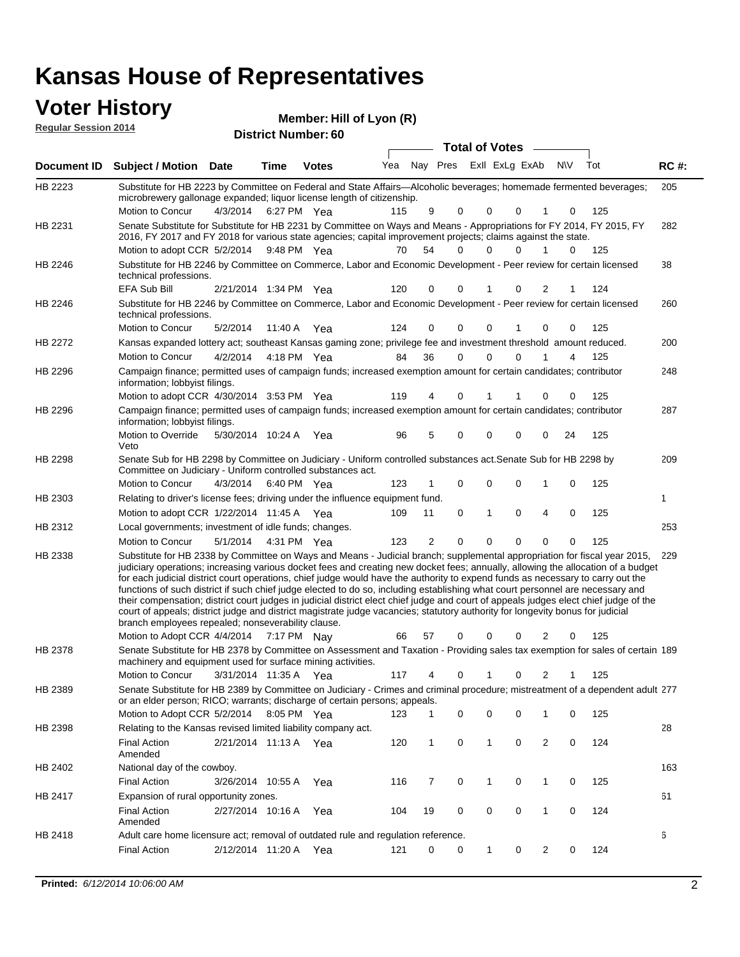#### **Voter History**<br> **Reqular Session 2014 Regular Session 2014**

| noguidi ocoololi 4017 |                                                                                                                                                                                                                                                                                                                                                                                                                                                                                                                                                                                                                                                                                                                                                                                                                                                                                                                 | <b>District Number: 60</b> |             |              |     |    |             |                            |              |           |     |             |
|-----------------------|-----------------------------------------------------------------------------------------------------------------------------------------------------------------------------------------------------------------------------------------------------------------------------------------------------------------------------------------------------------------------------------------------------------------------------------------------------------------------------------------------------------------------------------------------------------------------------------------------------------------------------------------------------------------------------------------------------------------------------------------------------------------------------------------------------------------------------------------------------------------------------------------------------------------|----------------------------|-------------|--------------|-----|----|-------------|----------------------------|--------------|-----------|-----|-------------|
|                       |                                                                                                                                                                                                                                                                                                                                                                                                                                                                                                                                                                                                                                                                                                                                                                                                                                                                                                                 |                            |             |              |     |    |             | Total of Votes -           |              |           |     |             |
| Document ID           | <b>Subject / Motion Date</b>                                                                                                                                                                                                                                                                                                                                                                                                                                                                                                                                                                                                                                                                                                                                                                                                                                                                                    |                            | <b>Time</b> | <b>Votes</b> | Yea |    |             | Nay Pres Exll ExLg ExAb    |              | <b>NV</b> | Tot | <b>RC#:</b> |
| HB 2223               | Substitute for HB 2223 by Committee on Federal and State Affairs—Alcoholic beverages; homemade fermented beverages;<br>microbrewery gallonage expanded; liquor license length of citizenship.                                                                                                                                                                                                                                                                                                                                                                                                                                                                                                                                                                                                                                                                                                                   |                            |             |              |     |    |             |                            |              |           |     | 205         |
| HB 2231               | <b>Motion to Concur</b><br>Senate Substitute for Substitute for HB 2231 by Committee on Ways and Means - Appropriations for FY 2014, FY 2015, FY                                                                                                                                                                                                                                                                                                                                                                                                                                                                                                                                                                                                                                                                                                                                                                | 4/3/2014                   |             | 6:27 PM Yea  | 115 | 9  | 0           | 0<br>0                     |              | 0         | 125 | 282         |
|                       | 2016, FY 2017 and FY 2018 for various state agencies; capital improvement projects; claims against the state.<br>Motion to adopt CCR 5/2/2014                                                                                                                                                                                                                                                                                                                                                                                                                                                                                                                                                                                                                                                                                                                                                                   |                            |             | 9:48 PM Yea  | 70  | 54 | 0           | $\Omega$<br>0              | $\mathbf{1}$ | 0         | 125 |             |
| HB 2246               | Substitute for HB 2246 by Committee on Commerce, Labor and Economic Development - Peer review for certain licensed<br>technical professions.                                                                                                                                                                                                                                                                                                                                                                                                                                                                                                                                                                                                                                                                                                                                                                    |                            |             |              |     |    |             |                            |              |           |     | 38          |
| HB 2246               | EFA Sub Bill<br>Substitute for HB 2246 by Committee on Commerce, Labor and Economic Development - Peer review for certain licensed<br>technical professions.                                                                                                                                                                                                                                                                                                                                                                                                                                                                                                                                                                                                                                                                                                                                                    | 2/21/2014 1:34 PM Yea      |             |              | 120 | 0  | $\Omega$    | 0<br>1                     | 2            |           | 124 | 260         |
|                       | Motion to Concur                                                                                                                                                                                                                                                                                                                                                                                                                                                                                                                                                                                                                                                                                                                                                                                                                                                                                                | 5/2/2014                   |             | 11:40 A Yea  | 124 | 0  | 0           | 0                          | 0            | 0         | 125 |             |
| HB 2272               | Kansas expanded lottery act; southeast Kansas gaming zone; privilege fee and investment threshold amount reduced.                                                                                                                                                                                                                                                                                                                                                                                                                                                                                                                                                                                                                                                                                                                                                                                               |                            |             |              |     |    |             |                            |              |           |     | 200         |
|                       | <b>Motion to Concur</b>                                                                                                                                                                                                                                                                                                                                                                                                                                                                                                                                                                                                                                                                                                                                                                                                                                                                                         | 4/2/2014                   |             | 4:18 PM Yea  | 84  | 36 | 0           | $\Omega$<br>$\Omega$       |              | 4         | 125 |             |
| HB 2296               | Campaign finance; permitted uses of campaign funds; increased exemption amount for certain candidates; contributor<br>information; lobbyist filings.                                                                                                                                                                                                                                                                                                                                                                                                                                                                                                                                                                                                                                                                                                                                                            |                            |             |              |     |    |             |                            |              |           |     | 248         |
|                       | Motion to adopt CCR 4/30/2014 3:53 PM Yea                                                                                                                                                                                                                                                                                                                                                                                                                                                                                                                                                                                                                                                                                                                                                                                                                                                                       |                            |             |              | 119 | 4  | 0           | 1                          | 0            | 0         | 125 |             |
| HB 2296               | Campaign finance; permitted uses of campaign funds; increased exemption amount for certain candidates; contributor<br>information; lobbyist filings.                                                                                                                                                                                                                                                                                                                                                                                                                                                                                                                                                                                                                                                                                                                                                            |                            |             |              |     |    |             |                            |              |           |     | 287         |
|                       | Motion to Override<br>Veto                                                                                                                                                                                                                                                                                                                                                                                                                                                                                                                                                                                                                                                                                                                                                                                                                                                                                      | 5/30/2014 10:24 A          |             | Yea          | 96  | 5  | 0           | $\mathbf 0$<br>$\mathbf 0$ | 0            | 24        | 125 |             |
| HB 2298               | Senate Sub for HB 2298 by Committee on Judiciary - Uniform controlled substances act. Senate Sub for HB 2298 by<br>Committee on Judiciary - Uniform controlled substances act.                                                                                                                                                                                                                                                                                                                                                                                                                                                                                                                                                                                                                                                                                                                                  |                            |             |              |     |    |             |                            |              |           |     | 209         |
|                       | Motion to Concur                                                                                                                                                                                                                                                                                                                                                                                                                                                                                                                                                                                                                                                                                                                                                                                                                                                                                                | 4/3/2014                   |             | 6:40 PM Yea  | 123 |    | $\mathbf 0$ | $\mathbf 0$<br>$\Omega$    | 1            | 0         | 125 |             |
| HB 2303               | Relating to driver's license fees; driving under the influence equipment fund.                                                                                                                                                                                                                                                                                                                                                                                                                                                                                                                                                                                                                                                                                                                                                                                                                                  |                            |             |              |     |    |             |                            |              |           |     | 1           |
|                       | Motion to adopt CCR 1/22/2014 11:45 A Yea                                                                                                                                                                                                                                                                                                                                                                                                                                                                                                                                                                                                                                                                                                                                                                                                                                                                       |                            |             |              | 109 | 11 | $\mathbf 0$ | 1<br>0                     | 4            | $\Omega$  | 125 |             |
| HB 2312               | Local governments; investment of idle funds; changes.                                                                                                                                                                                                                                                                                                                                                                                                                                                                                                                                                                                                                                                                                                                                                                                                                                                           |                            |             |              |     |    |             |                            |              |           |     | 253         |
|                       | Motion to Concur                                                                                                                                                                                                                                                                                                                                                                                                                                                                                                                                                                                                                                                                                                                                                                                                                                                                                                | 5/1/2014                   |             | 4:31 PM Yea  | 123 | 2  | $\Omega$    | $\Omega$<br>$\Omega$       | 0            | $\Omega$  | 125 |             |
| HB 2338               | Substitute for HB 2338 by Committee on Ways and Means - Judicial branch; supplemental appropriation for fiscal year 2015,<br>judiciary operations; increasing various docket fees and creating new docket fees; annually, allowing the allocation of a budget<br>for each judicial district court operations, chief judge would have the authority to expend funds as necessary to carry out the<br>functions of such district if such chief judge elected to do so, including establishing what court personnel are necessary and<br>their compensation; district court judges in judicial district elect chief judge and court of appeals judges elect chief judge of the<br>court of appeals; district judge and district magistrate judge vacancies; statutory authority for longevity bonus for judicial<br>branch employees repealed; nonseverability clause.<br>Motion to Adopt CCR 4/4/2014 7:17 PM Nay |                            |             |              | 66  | 57 | 0           | 0<br>0                     | 2            | 0         | 125 | 229         |
| HB 2378               | Senate Substitute for HB 2378 by Committee on Assessment and Taxation - Providing sales tax exemption for sales of certain 189<br>machinery and equipment used for surface mining activities.                                                                                                                                                                                                                                                                                                                                                                                                                                                                                                                                                                                                                                                                                                                   |                            |             |              |     |    |             |                            |              |           |     |             |
|                       | Motion to Concur                                                                                                                                                                                                                                                                                                                                                                                                                                                                                                                                                                                                                                                                                                                                                                                                                                                                                                | 3/31/2014 11:35 A          |             | Yea          | 117 | 4  | 0           | 1<br>0                     | 2            |           | 125 |             |
| HB 2389               | Senate Substitute for HB 2389 by Committee on Judiciary - Crimes and criminal procedure; mistreatment of a dependent adult 277<br>or an elder person; RICO; warrants; discharge of certain persons; appeals.                                                                                                                                                                                                                                                                                                                                                                                                                                                                                                                                                                                                                                                                                                    |                            |             |              |     |    |             |                            |              |           |     |             |
|                       | Motion to Adopt CCR 5/2/2014 8:05 PM Yea                                                                                                                                                                                                                                                                                                                                                                                                                                                                                                                                                                                                                                                                                                                                                                                                                                                                        |                            |             |              | 123 | 1  | 0           | 0<br>0                     | 1            | 0         | 125 |             |
| HB 2398               | Relating to the Kansas revised limited liability company act.                                                                                                                                                                                                                                                                                                                                                                                                                                                                                                                                                                                                                                                                                                                                                                                                                                                   |                            |             |              |     |    |             |                            |              |           |     | 28          |
|                       | <b>Final Action</b><br>Amended                                                                                                                                                                                                                                                                                                                                                                                                                                                                                                                                                                                                                                                                                                                                                                                                                                                                                  | 2/21/2014 11:13 A Yea      |             |              | 120 | 1  | 0           | 1<br>0                     | 2            | 0         | 124 |             |
| HB 2402               | National day of the cowboy.                                                                                                                                                                                                                                                                                                                                                                                                                                                                                                                                                                                                                                                                                                                                                                                                                                                                                     |                            |             |              |     |    |             |                            |              |           |     | 163         |
|                       | <b>Final Action</b>                                                                                                                                                                                                                                                                                                                                                                                                                                                                                                                                                                                                                                                                                                                                                                                                                                                                                             | 3/26/2014 10:55 A          |             | Yea          | 116 | 7  | 0           | 0<br>1                     | 1            | 0         | 125 |             |
| HB 2417               | Expansion of rural opportunity zones.                                                                                                                                                                                                                                                                                                                                                                                                                                                                                                                                                                                                                                                                                                                                                                                                                                                                           |                            |             |              |     |    |             |                            |              |           |     | 61          |
|                       | <b>Final Action</b><br>Amended                                                                                                                                                                                                                                                                                                                                                                                                                                                                                                                                                                                                                                                                                                                                                                                                                                                                                  | 2/27/2014 10:16 A          |             | Yea          | 104 | 19 | 0           | 0<br>0                     | $\mathbf{1}$ | 0         | 124 |             |
| HB 2418               | Adult care home licensure act; removal of outdated rule and regulation reference.                                                                                                                                                                                                                                                                                                                                                                                                                                                                                                                                                                                                                                                                                                                                                                                                                               |                            |             |              |     |    |             |                            |              |           |     | 6           |
|                       | <b>Final Action</b>                                                                                                                                                                                                                                                                                                                                                                                                                                                                                                                                                                                                                                                                                                                                                                                                                                                                                             | 2/12/2014 11:20 A          |             | Yea          | 121 | 0  | 0           | 1<br>0                     | 2            | 0         | 124 |             |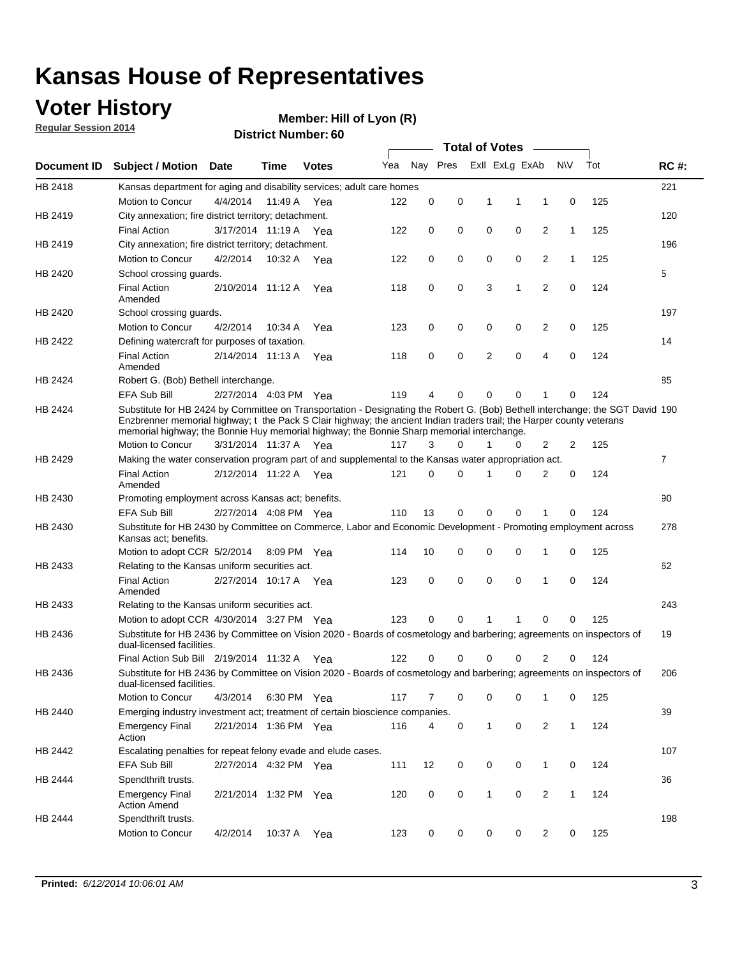### **Voter History**

**Regular Session 2014**

#### **Member: Hill of Lyon (R)**

|             |                                                                                                                                                                                                                                                                                                                                                      |                       |             | <b>DISUILLINUIIIIDEI.UU</b> |     |             |          |             | <b>Total of Votes</b> |                |              |     |                |
|-------------|------------------------------------------------------------------------------------------------------------------------------------------------------------------------------------------------------------------------------------------------------------------------------------------------------------------------------------------------------|-----------------------|-------------|-----------------------------|-----|-------------|----------|-------------|-----------------------|----------------|--------------|-----|----------------|
| Document ID | <b>Subject / Motion Date</b>                                                                                                                                                                                                                                                                                                                         |                       | Time        | <b>Votes</b>                | Yea |             | Nay Pres |             | Exll ExLg ExAb        |                | <b>NV</b>    | Tot | <b>RC#:</b>    |
| HB 2418     | Kansas department for aging and disability services; adult care homes                                                                                                                                                                                                                                                                                |                       |             |                             |     |             |          |             |                       |                |              |     | 221            |
|             | Motion to Concur                                                                                                                                                                                                                                                                                                                                     | 4/4/2014              | 11:49 A     | Yea                         | 122 | 0           | 0        | 1           | 1                     | 1              | 0            | 125 |                |
| HB 2419     | City annexation; fire district territory; detachment.                                                                                                                                                                                                                                                                                                |                       |             |                             |     |             |          |             |                       |                |              |     | 120            |
|             | <b>Final Action</b>                                                                                                                                                                                                                                                                                                                                  | 3/17/2014 11:19 A     |             | Yea                         | 122 | 0           | 0        | $\mathbf 0$ | 0                     | 2              | $\mathbf{1}$ | 125 |                |
| HB 2419     | City annexation; fire district territory; detachment.                                                                                                                                                                                                                                                                                                |                       |             |                             |     |             |          |             |                       |                |              |     | 196            |
|             | Motion to Concur                                                                                                                                                                                                                                                                                                                                     | 4/2/2014              | 10:32 A     | Yea                         | 122 | 0           | 0        | $\mathbf 0$ | 0                     | 2              | $\mathbf{1}$ | 125 |                |
| HB 2420     | School crossing quards.                                                                                                                                                                                                                                                                                                                              |                       |             |                             |     |             |          |             |                       |                |              |     | 5              |
|             | <b>Final Action</b><br>Amended                                                                                                                                                                                                                                                                                                                       | 2/10/2014 11:12 A     |             | Yea                         | 118 | 0           | 0        | 3           | 1                     | 2              | 0            | 124 |                |
| HB 2420     | School crossing guards.                                                                                                                                                                                                                                                                                                                              |                       |             |                             |     |             |          |             |                       |                |              |     | 197            |
|             | Motion to Concur                                                                                                                                                                                                                                                                                                                                     | 4/2/2014              | 10:34 A     | Yea                         | 123 | 0           | 0        | 0           | 0                     | 2              | 0            | 125 |                |
| HB 2422     | Defining watercraft for purposes of taxation.                                                                                                                                                                                                                                                                                                        |                       |             |                             |     |             |          |             |                       |                |              |     | 14             |
|             | <b>Final Action</b><br>Amended                                                                                                                                                                                                                                                                                                                       | 2/14/2014 11:13 A     |             | Yea                         | 118 | 0           | 0        | 2           | $\mathbf 0$           | 4              | 0            | 124 |                |
| HB 2424     | Robert G. (Bob) Bethell interchange.                                                                                                                                                                                                                                                                                                                 |                       |             |                             |     |             |          |             |                       |                |              |     | 85             |
|             | <b>EFA Sub Bill</b>                                                                                                                                                                                                                                                                                                                                  | 2/27/2014 4:03 PM Yea |             |                             | 119 | 4           | 0        | 0           | $\mathbf 0$           | 1              | $\Omega$     | 124 |                |
| HB 2424     | Substitute for HB 2424 by Committee on Transportation - Designating the Robert G. (Bob) Bethell interchange; the SGT David 190<br>Enzbrenner memorial highway; t the Pack S Clair highway; the ancient Indian traders trail; the Harper county veterans<br>memorial highway; the Bonnie Huy memorial highway; the Bonnie Sharp memorial interchange. |                       |             |                             |     |             |          |             |                       |                |              |     |                |
|             | Motion to Concur                                                                                                                                                                                                                                                                                                                                     | 3/31/2014 11:37 A Yea |             |                             | 117 | 3           | 0        | 1           | 0                     | 2              | 2            | 125 |                |
| HB 2429     | Making the water conservation program part of and supplemental to the Kansas water appropriation act.                                                                                                                                                                                                                                                |                       |             |                             |     |             |          |             |                       |                |              |     | $\overline{7}$ |
|             | <b>Final Action</b><br>Amended                                                                                                                                                                                                                                                                                                                       | 2/12/2014 11:22 A     |             | Yea                         | 121 | $\mathbf 0$ | 0        | 1           | $\Omega$              | $\overline{2}$ | 0            | 124 |                |
| HB 2430     | Promoting employment across Kansas act; benefits.                                                                                                                                                                                                                                                                                                    |                       |             |                             |     |             |          |             |                       |                |              |     | 90             |
|             | EFA Sub Bill                                                                                                                                                                                                                                                                                                                                         | 2/27/2014 4:08 PM Yea |             |                             | 110 | 13          | 0        | 0           | 0                     | 1              | $\Omega$     | 124 |                |
| HB 2430     | Substitute for HB 2430 by Committee on Commerce, Labor and Economic Development - Promoting employment across<br>Kansas act; benefits.                                                                                                                                                                                                               |                       |             |                             |     |             |          |             |                       |                |              |     | 278            |
|             | Motion to adopt CCR 5/2/2014                                                                                                                                                                                                                                                                                                                         |                       | 8:09 PM Yea |                             | 114 | 10          | 0        | 0           | $\mathbf 0$           | 1              | 0            | 125 |                |
| HB 2433     | Relating to the Kansas uniform securities act.                                                                                                                                                                                                                                                                                                       |                       |             |                             |     |             |          |             |                       |                |              |     | 62             |
|             | <b>Final Action</b><br>Amended                                                                                                                                                                                                                                                                                                                       | 2/27/2014 10:17 A Yea |             |                             | 123 | 0           | 0        | $\mathbf 0$ | $\mathbf 0$           | 1              | 0            | 124 |                |
| HB 2433     | Relating to the Kansas uniform securities act.                                                                                                                                                                                                                                                                                                       |                       |             |                             |     |             |          |             |                       |                |              |     | 243            |
|             | Motion to adopt CCR 4/30/2014 3:27 PM Yea                                                                                                                                                                                                                                                                                                            |                       |             |                             | 123 | 0           | 0        | 1           | 1                     | 0              | 0            | 125 |                |
| HB 2436     | Substitute for HB 2436 by Committee on Vision 2020 - Boards of cosmetology and barbering; agreements on inspectors of<br>dual-licensed facilities.                                                                                                                                                                                                   |                       |             |                             |     |             |          |             |                       |                |              |     | 19             |
|             | Final Action Sub Bill 2/19/2014 11:32 A                                                                                                                                                                                                                                                                                                              |                       |             | Yea                         | 122 | 0           | 0        | 0           | $\Omega$              | 2              | 0            | 124 |                |
| HB 2436     | Substitute for HB 2436 by Committee on Vision 2020 - Boards of cosmetology and barbering; agreements on inspectors of<br>dual-licensed facilities.                                                                                                                                                                                                   |                       |             |                             |     |             |          |             |                       |                |              |     | 206            |
|             | Motion to Concur                                                                                                                                                                                                                                                                                                                                     | 4/3/2014              |             | 6:30 PM Yea                 | 117 | 7           | 0        | 0           | 0                     | 1              | 0            | 125 |                |
| HB 2440     | Emerging industry investment act; treatment of certain bioscience companies.                                                                                                                                                                                                                                                                         |                       |             |                             |     |             |          |             |                       |                |              |     | 39             |
|             | <b>Emergency Final</b><br>Action                                                                                                                                                                                                                                                                                                                     | 2/21/2014 1:36 PM Yea |             |                             | 116 | 4           | 0        | 1           | 0                     | 2              | $\mathbf{1}$ | 124 |                |
| HB 2442     | Escalating penalties for repeat felony evade and elude cases.                                                                                                                                                                                                                                                                                        |                       |             |                             |     |             |          |             |                       |                |              |     | 107            |
|             | EFA Sub Bill                                                                                                                                                                                                                                                                                                                                         | 2/27/2014 4:32 PM Yea |             |                             | 111 | 12          | 0        | 0           | 0                     | $\mathbf{1}$   | 0            | 124 |                |
| HB 2444     | Spendthrift trusts.                                                                                                                                                                                                                                                                                                                                  |                       |             |                             |     |             |          |             |                       |                |              |     | 36             |
|             | <b>Emergency Final</b><br><b>Action Amend</b>                                                                                                                                                                                                                                                                                                        | 2/21/2014 1:32 PM Yea |             |                             | 120 | 0           | 0        | 1           | 0                     | 2              | $\mathbf{1}$ | 124 |                |
| HB 2444     | Spendthrift trusts.                                                                                                                                                                                                                                                                                                                                  |                       |             |                             |     |             |          |             |                       |                |              |     | 198            |
|             | Motion to Concur                                                                                                                                                                                                                                                                                                                                     | 4/2/2014              | 10:37 A     | Yea                         | 123 | 0           | 0        | 0           | 0                     | 2              | 0            | 125 |                |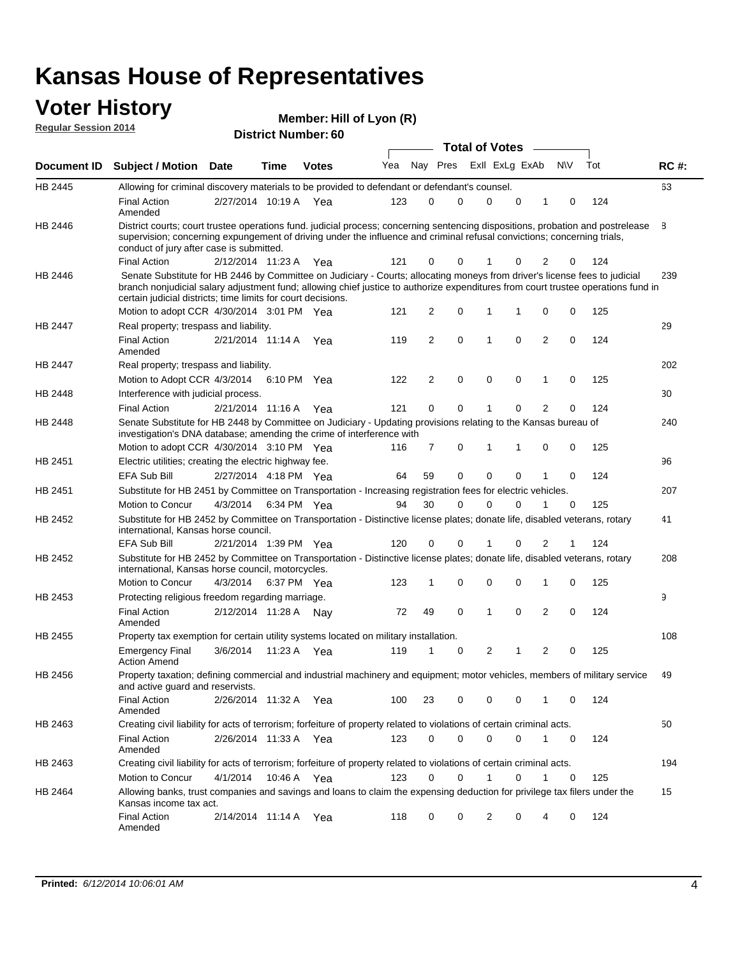# **Voter History**<br> **Regular Session 2014**

| <b>VULGE LIBLUI Y</b><br><b>Regular Session 2014</b> |                                                                                                                                                                                                                                                                                                                                 |                                                     |      | Member: Hill of Lyon (R) |     |    |                |             |              |                |                |             |     |             |
|------------------------------------------------------|---------------------------------------------------------------------------------------------------------------------------------------------------------------------------------------------------------------------------------------------------------------------------------------------------------------------------------|-----------------------------------------------------|------|--------------------------|-----|----|----------------|-------------|--------------|----------------|----------------|-------------|-----|-------------|
|                                                      |                                                                                                                                                                                                                                                                                                                                 | <b>District Number: 60</b><br><b>Total of Votes</b> |      |                          |     |    |                |             |              |                |                |             |     |             |
| Document ID                                          | <b>Subject / Motion Date</b>                                                                                                                                                                                                                                                                                                    |                                                     | Time | <b>Votes</b>             | Yea |    | Nay Pres       |             |              | Exll ExLg ExAb |                | <b>NV</b>   | Tot | <b>RC#:</b> |
| <b>HB 2445</b>                                       | Allowing for criminal discovery materials to be provided to defendant or defendant's counsel.                                                                                                                                                                                                                                   |                                                     |      |                          |     |    |                |             |              |                |                |             |     | 63          |
|                                                      | <b>Final Action</b><br>Amended                                                                                                                                                                                                                                                                                                  | 2/27/2014 10:19 A Yea                               |      |                          | 123 |    | $\mathbf 0$    | 0           | 0            | $\mathbf 0$    | 1              | $\mathbf 0$ | 124 |             |
| HB 2446                                              | District courts; court trustee operations fund. judicial process; concerning sentencing dispositions, probation and postrelease<br>supervision; concerning expungement of driving under the influence and criminal refusal convictions; concerning trials,<br>conduct of jury after case is submitted.                          |                                                     |      |                          |     |    |                |             |              |                |                |             |     | 8           |
|                                                      | <b>Final Action</b>                                                                                                                                                                                                                                                                                                             | 2/12/2014 11:23 A Yea                               |      |                          | 121 |    | 0              | 0           |              | 0              | 2              | 0           | 124 |             |
| HB 2446                                              | Senate Substitute for HB 2446 by Committee on Judiciary - Courts; allocating moneys from driver's license fees to judicial<br>branch nonjudicial salary adjustment fund; allowing chief justice to authorize expenditures from court trustee operations fund in<br>certain judicial districts; time limits for court decisions. |                                                     |      |                          |     |    |                |             |              |                |                |             |     | 239         |
|                                                      | Motion to adopt CCR 4/30/2014 3:01 PM Yea                                                                                                                                                                                                                                                                                       |                                                     |      |                          | 121 |    | $\overline{2}$ | 0           | 1            | 1              | 0              | 0           | 125 |             |
| HB 2447                                              | Real property; trespass and liability.                                                                                                                                                                                                                                                                                          |                                                     |      |                          |     |    |                |             |              |                |                |             |     | 29          |
|                                                      | <b>Final Action</b><br>Amended                                                                                                                                                                                                                                                                                                  | 2/21/2014 11:14 A Yea                               |      |                          | 119 |    | $\overline{2}$ | 0           | $\mathbf{1}$ | $\mathbf 0$    | 2              | $\mathbf 0$ | 124 |             |
| HB 2447                                              | Real property; trespass and liability.                                                                                                                                                                                                                                                                                          |                                                     |      |                          |     |    |                |             |              |                |                |             |     | 202         |
|                                                      | Motion to Adopt CCR 4/3/2014                                                                                                                                                                                                                                                                                                    |                                                     |      | 6:10 PM Yea              | 122 |    | $\overline{2}$ | 0           | $\mathbf 0$  | 0              | 1              | 0           | 125 |             |
| HB 2448                                              | Interference with judicial process.                                                                                                                                                                                                                                                                                             |                                                     |      |                          |     |    |                |             |              |                |                |             |     | 30          |
|                                                      | <b>Final Action</b>                                                                                                                                                                                                                                                                                                             | 2/21/2014 11:16 A                                   |      | Yea                      | 121 |    | 0              | 0           | 1            | $\Omega$       | $\overline{2}$ | 0           | 124 |             |
| HB 2448                                              | Senate Substitute for HB 2448 by Committee on Judiciary - Updating provisions relating to the Kansas bureau of<br>investigation's DNA database; amending the crime of interference with                                                                                                                                         |                                                     |      |                          |     |    |                |             |              |                |                |             |     | 240         |
|                                                      | Motion to adopt CCR 4/30/2014 3:10 PM Yea                                                                                                                                                                                                                                                                                       |                                                     |      |                          | 116 |    | 7              | 0           | 1            | 1              | 0              | 0           | 125 |             |
| HB 2451                                              | Electric utilities; creating the electric highway fee.                                                                                                                                                                                                                                                                          |                                                     |      |                          |     |    |                |             |              |                |                |             |     | 96          |
|                                                      | <b>EFA Sub Bill</b>                                                                                                                                                                                                                                                                                                             | 2/27/2014 4:18 PM Yea                               |      |                          | 64  | 59 |                | 0           | 0            | $\mathbf 0$    | 1              | $\mathbf 0$ | 124 |             |
| HB 2451                                              | Substitute for HB 2451 by Committee on Transportation - Increasing registration fees for electric vehicles.                                                                                                                                                                                                                     |                                                     |      |                          |     |    |                |             |              |                |                |             |     | 207         |
|                                                      | Motion to Concur                                                                                                                                                                                                                                                                                                                | 4/3/2014                                            |      | 6:34 PM Yea              | 94  | 30 |                | $\mathbf 0$ | 0            | $\mathbf 0$    | 1              | $\mathbf 0$ | 125 |             |
| HB 2452                                              | Substitute for HB 2452 by Committee on Transportation - Distinctive license plates; donate life, disabled veterans, rotary<br>international, Kansas horse council.                                                                                                                                                              |                                                     |      |                          |     |    |                |             |              |                |                |             |     | 41          |
|                                                      | EFA Sub Bill                                                                                                                                                                                                                                                                                                                    | 2/21/2014 1:39 PM Yea                               |      |                          | 120 |    | 0              | 0           | 1            | $\mathbf 0$    | 2              | -1          | 124 |             |
| HB 2452                                              | Substitute for HB 2452 by Committee on Transportation - Distinctive license plates; donate life, disabled veterans, rotary<br>international, Kansas horse council, motorcycles.                                                                                                                                                 |                                                     |      |                          |     |    |                |             |              |                |                |             |     | 208         |
|                                                      | Motion to Concur                                                                                                                                                                                                                                                                                                                | 4/3/2014                                            |      | 6:37 PM Yea              | 123 |    | 1              | $\mathbf 0$ | 0            | 0              | 1              | 0           | 125 |             |
| HB 2453                                              | Protecting religious freedom regarding marriage.                                                                                                                                                                                                                                                                                |                                                     |      |                          |     |    |                |             |              |                |                |             |     | 9           |
|                                                      | <b>Final Action</b><br>Amended                                                                                                                                                                                                                                                                                                  | 2/12/2014 11:28 A                                   |      | Nay                      | 72  | 49 |                | 0           | 1            | 0              | 2              | 0           | 124 |             |
| HB 2455                                              | Property tax exemption for certain utility systems located on military installation.                                                                                                                                                                                                                                            |                                                     |      |                          |     |    |                |             |              |                |                |             |     | 108         |
|                                                      | Emergency Final 3/6/2014 11:23 A Yea 119 1 0<br><b>Action Amend</b>                                                                                                                                                                                                                                                             |                                                     |      |                          |     |    |                |             |              | $2 \quad 1$    | $\mathbf{2}$   |             | 125 |             |
| HB 2456                                              | Property taxation; defining commercial and industrial machinery and equipment; motor vehicles, members of military service<br>and active guard and reservists.                                                                                                                                                                  |                                                     |      |                          |     |    |                |             |              |                |                |             |     | 49          |
|                                                      | <b>Final Action</b><br>Amended                                                                                                                                                                                                                                                                                                  | 2/26/2014 11:32 A Yea                               |      |                          | 100 | 23 |                | 0           | 0            | 0              | 1              | 0           | 124 |             |
| HB 2463                                              | Creating civil liability for acts of terrorism; forfeiture of property related to violations of certain criminal acts.                                                                                                                                                                                                          |                                                     |      |                          |     |    |                |             |              |                |                |             |     | 50          |
|                                                      | <b>Final Action</b><br>Amended                                                                                                                                                                                                                                                                                                  | 2/26/2014 11:33 A Yea                               |      |                          | 123 |    | 0              | 0           | 0            | 0              | 1              | 0           | 124 |             |
| HB 2463                                              | Creating civil liability for acts of terrorism; forfeiture of property related to violations of certain criminal acts.                                                                                                                                                                                                          |                                                     |      |                          |     |    |                |             |              |                |                |             |     | 194         |
|                                                      | Motion to Concur                                                                                                                                                                                                                                                                                                                | 4/1/2014                                            |      | 10:46 A Yea              | 123 |    | 0              | 0           | 1            | 0              | $\mathbf{1}$   | 0           | 125 |             |

15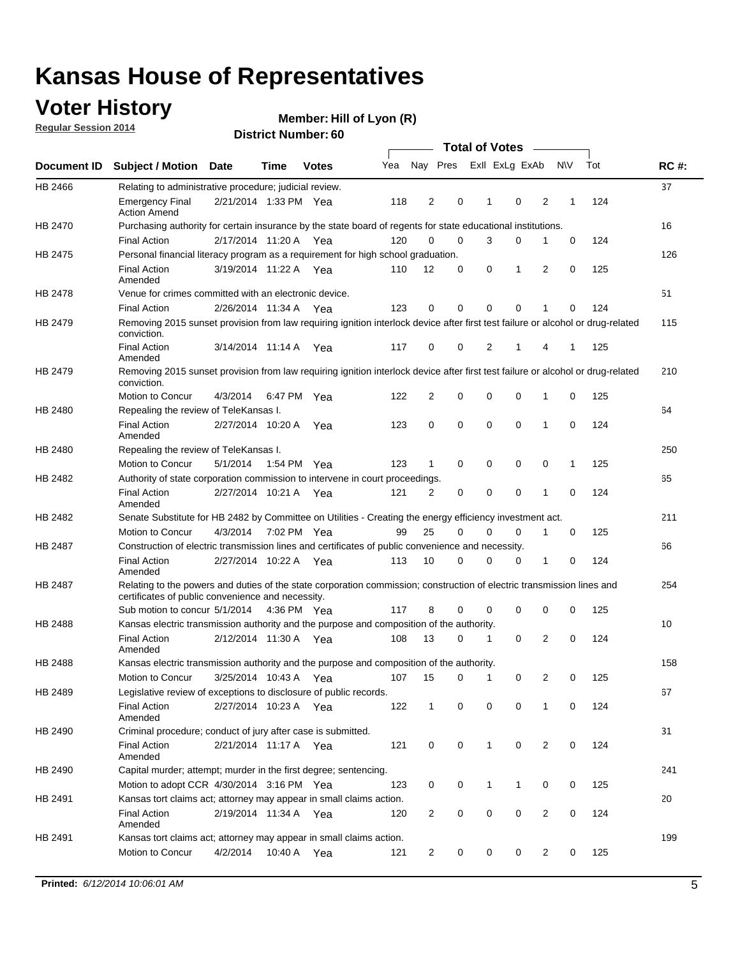### **Voter History**

**Regular Session 2014**

|                    |                                                                                                                                                                             |                       |         |              |     |                |          | <b>Total of Votes</b> |             |                         |             |     |             |
|--------------------|-----------------------------------------------------------------------------------------------------------------------------------------------------------------------------|-----------------------|---------|--------------|-----|----------------|----------|-----------------------|-------------|-------------------------|-------------|-----|-------------|
| <b>Document ID</b> | <b>Subject / Motion</b>                                                                                                                                                     | <b>Date</b>           | Time    | <b>Votes</b> | Yea | Nay Pres       |          | Exll ExLg ExAb        |             |                         | <b>NV</b>   | Tot | <b>RC#:</b> |
| HB 2466            | Relating to administrative procedure; judicial review.                                                                                                                      |                       |         |              |     |                |          |                       |             |                         |             |     | 37          |
|                    | <b>Emergency Final</b><br><b>Action Amend</b>                                                                                                                               | 2/21/2014 1:33 PM Yea |         |              | 118 | 2              | 0        | 1                     | 0           | 2                       | 1           | 124 |             |
| <b>HB 2470</b>     | Purchasing authority for certain insurance by the state board of regents for state educational institutions.                                                                |                       |         |              |     |                |          |                       |             |                         |             |     | 16          |
|                    | <b>Final Action</b>                                                                                                                                                         | 2/17/2014 11:20 A Yea |         |              | 120 | 0              | 0        | 3                     | 0           | 1                       | 0           | 124 |             |
| HB 2475            | Personal financial literacy program as a requirement for high school graduation.                                                                                            |                       |         |              |     |                |          |                       |             |                         |             |     | 126         |
|                    | <b>Final Action</b><br>Amended                                                                                                                                              | 3/19/2014 11:22 A Yea |         |              | 110 | 12             | 0        | 0                     | 1           | 2                       | 0           | 125 |             |
| HB 2478            | Venue for crimes committed with an electronic device.                                                                                                                       |                       |         |              |     |                |          |                       |             |                         |             |     | 51          |
|                    | <b>Final Action</b>                                                                                                                                                         | 2/26/2014 11:34 A     |         | Yea          | 123 | 0              | 0        | $\mathbf 0$           | 0           | 1                       | 0           | 124 |             |
| HB 2479            | Removing 2015 sunset provision from law requiring ignition interlock device after first test failure or alcohol or drug-related<br>conviction.                              |                       |         |              |     |                |          |                       |             |                         |             |     | 115         |
|                    | <b>Final Action</b><br>Amended                                                                                                                                              | 3/14/2014 11:14 A     |         | Yea          | 117 | 0              | 0        | 2                     | 1           | 4                       | 1           | 125 |             |
| HB 2479            | Removing 2015 sunset provision from law requiring ignition interlock device after first test failure or alcohol or drug-related<br>conviction.                              |                       |         |              |     |                |          |                       |             |                         |             |     | 210         |
|                    | <b>Motion to Concur</b>                                                                                                                                                     | 4/3/2014              |         | 6:47 PM Yea  | 122 | $\overline{2}$ | 0        | $\mathbf 0$           | $\mathbf 0$ | 1                       | 0           | 125 |             |
| HB 2480            | Repealing the review of TeleKansas I.                                                                                                                                       |                       |         |              |     |                |          |                       |             |                         |             |     | 64          |
|                    | <b>Final Action</b><br>Amended                                                                                                                                              | 2/27/2014 10:20 A     |         | Yea          | 123 | 0              | 0        | $\mathbf 0$           | $\mathbf 0$ | 1                       | $\mathbf 0$ | 124 |             |
| HB 2480            | Repealing the review of TeleKansas I.                                                                                                                                       |                       |         |              |     |                |          |                       |             |                         |             |     | 250         |
|                    | Motion to Concur                                                                                                                                                            | 5/1/2014              |         | 1:54 PM Yea  | 123 | 1              | 0        | 0                     | 0           | 0                       | 1           | 125 |             |
| HB 2482            | Authority of state corporation commission to intervene in court proceedings.                                                                                                |                       |         |              |     |                |          |                       |             |                         |             |     | 65          |
|                    | <b>Final Action</b><br>Amended                                                                                                                                              | 2/27/2014 10:21 A     |         | Yea          | 121 | 2              | 0        | $\mathbf 0$           | $\mathbf 0$ | 1                       | $\mathbf 0$ | 124 |             |
| HB 2482            | Senate Substitute for HB 2482 by Committee on Utilities - Creating the energy efficiency investment act.                                                                    |                       |         |              |     |                |          |                       |             |                         |             |     | 211         |
|                    | Motion to Concur                                                                                                                                                            | 4/3/2014 7:02 PM Yea  |         |              | 99  | 25             | $\Omega$ | 0                     | 0           | 1                       | 0           | 125 |             |
| HB 2487            | Construction of electric transmission lines and certificates of public convenience and necessity.                                                                           |                       |         |              |     |                |          |                       |             |                         |             |     | 66          |
|                    | <b>Final Action</b><br>Amended                                                                                                                                              | 2/27/2014 10:22 A     |         | Yea          | 113 | 10             | 0        | 0                     | 0           | 1                       | 0           | 124 |             |
| HB 2487            | Relating to the powers and duties of the state corporation commission; construction of electric transmission lines and<br>certificates of public convenience and necessity. |                       |         |              |     |                |          |                       |             |                         |             |     | 254         |
|                    | Sub motion to concur 5/1/2014 4:36 PM Yea                                                                                                                                   |                       |         |              | 117 | 8              | 0        | 0                     | 0           | 0                       | 0           | 125 |             |
| HB 2488            | Kansas electric transmission authority and the purpose and composition of the authority.                                                                                    |                       |         |              |     |                |          |                       |             |                         |             |     | 10          |
|                    | <b>Final Action</b><br>Amended                                                                                                                                              | 2/12/2014 11:30 A     |         | Yea          | 108 | 13             | 0        | 1                     | $\mathbf 0$ | 2                       | 0           | 124 |             |
| <b>HB 2488</b>     | Kansas electric transmission authority and the purpose and composition of the authority.                                                                                    |                       |         |              |     |                |          |                       |             |                         |             |     | 158         |
|                    | Motion to Concur                                                                                                                                                            | 3/25/2014 10:43 A     |         | Yea          | 107 | 15             | 0        | 1                     | 0           | 2                       | 0           | 125 |             |
| HB 2489            | Legislative review of exceptions to disclosure of public records.                                                                                                           |                       |         |              |     |                |          |                       |             |                         |             |     | 67          |
|                    | <b>Final Action</b><br>Amended                                                                                                                                              | 2/27/2014 10:23 A Yea |         |              | 122 | $\mathbf 1$    | 0        | 0                     | 0           | 1                       | 0           | 124 |             |
| HB 2490            | Criminal procedure; conduct of jury after case is submitted.                                                                                                                |                       |         |              |     |                |          |                       |             |                         |             |     | 31          |
|                    | <b>Final Action</b><br>Amended                                                                                                                                              | 2/21/2014 11:17 A Yea |         |              | 121 | 0              | 0        | 1                     | $\mathbf 0$ | 2                       | 0           | 124 |             |
| HB 2490            | Capital murder; attempt; murder in the first degree; sentencing.                                                                                                            |                       |         |              |     |                |          |                       |             |                         |             |     | 241         |
|                    | Motion to adopt CCR 4/30/2014 3:16 PM Yea                                                                                                                                   |                       |         |              | 123 | 0              | 0        | 1                     | 1           | 0                       | 0           | 125 |             |
| HB 2491            | Kansas tort claims act; attorney may appear in small claims action.                                                                                                         |                       |         |              |     |                |          |                       |             |                         |             |     | 20          |
|                    | <b>Final Action</b><br>Amended                                                                                                                                              | 2/19/2014 11:34 A Yea |         |              | 120 | $\overline{2}$ | 0        | 0                     | 0           | $\overline{\mathbf{c}}$ | 0           | 124 |             |
| HB 2491            | Kansas tort claims act; attorney may appear in small claims action.                                                                                                         |                       |         |              |     |                |          |                       |             |                         |             |     | 199         |
|                    | Motion to Concur                                                                                                                                                            | 4/2/2014              | 10:40 A | Yea          | 121 | $\overline{2}$ | 0        | 0                     | 0           | $\overline{2}$          | 0           | 125 |             |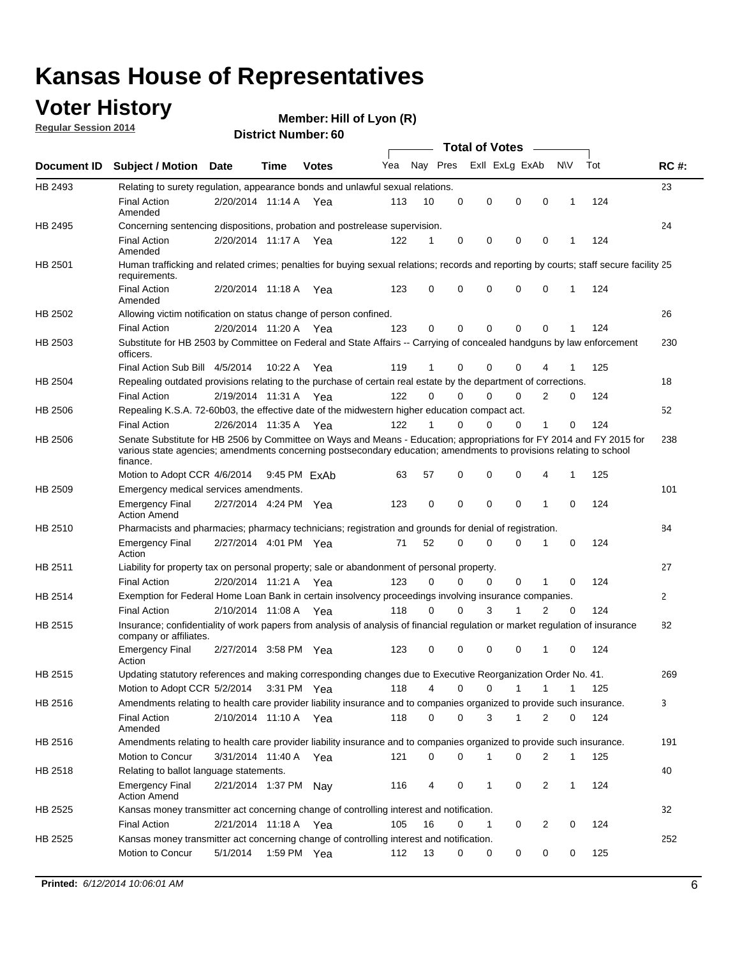### **Voter History**

**Regular Session 2014**

**Member: Hill of Lyon (R)** 

|                    |                                                                                                                                                                                                                                                        |                       |              |             |     |             |          | <b>Total of Votes</b> |              |                |             |     |             |
|--------------------|--------------------------------------------------------------------------------------------------------------------------------------------------------------------------------------------------------------------------------------------------------|-----------------------|--------------|-------------|-----|-------------|----------|-----------------------|--------------|----------------|-------------|-----|-------------|
| <b>Document ID</b> | <b>Subject / Motion Date</b>                                                                                                                                                                                                                           |                       | Time         | Votes       | Yea | Nay Pres    |          | Exll ExLg ExAb        |              |                | N\V         | Tot | <b>RC#:</b> |
| HB 2493            | Relating to surety regulation, appearance bonds and unlawful sexual relations.                                                                                                                                                                         |                       |              |             |     |             |          |                       |              |                |             |     | 23          |
|                    | <b>Final Action</b><br>Amended                                                                                                                                                                                                                         | 2/20/2014 11:14 A     |              | Yea         | 113 | 10          | 0        | 0                     | $\mathbf 0$  | $\mathbf 0$    | 1           | 124 |             |
| HB 2495            | Concerning sentencing dispositions, probation and postrelease supervision.                                                                                                                                                                             |                       |              |             |     |             |          |                       |              |                |             |     | 24          |
|                    | <b>Final Action</b><br>Amended                                                                                                                                                                                                                         | 2/20/2014 11:17 A Yea |              |             | 122 | 1           | 0        | 0                     | 0            | 0              |             | 124 |             |
| HB 2501            | Human trafficking and related crimes; penalties for buying sexual relations; records and reporting by courts; staff secure facility 25<br>requirements.                                                                                                |                       |              |             |     |             |          |                       |              |                |             |     |             |
|                    | <b>Final Action</b><br>Amended                                                                                                                                                                                                                         | 2/20/2014 11:18 A Yea |              |             | 123 | 0           | 0        | 0                     | 0            | $\Omega$       | 1           | 124 |             |
| HB 2502            | Allowing victim notification on status change of person confined.                                                                                                                                                                                      |                       |              |             |     |             |          |                       |              |                |             |     | 26          |
|                    | <b>Final Action</b>                                                                                                                                                                                                                                    | 2/20/2014 11:20 A Yea |              |             | 123 | $\Omega$    | 0        | 0                     | 0            | 0              |             | 124 |             |
| HB 2503            | Substitute for HB 2503 by Committee on Federal and State Affairs -- Carrying of concealed handguns by law enforcement<br>officers.                                                                                                                     |                       |              |             |     |             |          |                       |              |                |             |     | 230         |
|                    | Final Action Sub Bill 4/5/2014                                                                                                                                                                                                                         |                       | 10:22 A      | Yea         | 119 |             | 0        | 0                     | 0            | 4              |             | 125 |             |
| HB 2504            | Repealing outdated provisions relating to the purchase of certain real estate by the department of corrections.                                                                                                                                        |                       |              |             |     |             |          |                       |              |                |             |     | 18          |
|                    | <b>Final Action</b>                                                                                                                                                                                                                                    | 2/19/2014 11:31 A Yea |              |             | 122 | $\Omega$    | $\Omega$ | 0                     | 0            | 2              | 0           | 124 |             |
| HB 2506            | Repealing K.S.A. 72-60b03, the effective date of the midwestern higher education compact act.                                                                                                                                                          |                       |              |             |     |             |          |                       |              |                |             |     | 52          |
|                    | <b>Final Action</b>                                                                                                                                                                                                                                    | 2/26/2014 11:35 A Yea |              |             | 122 |             | $\Omega$ | 0                     | 0            | 1              | 0           | 124 |             |
| HB 2506            | Senate Substitute for HB 2506 by Committee on Ways and Means - Education; appropriations for FY 2014 and FY 2015 for<br>various state agencies; amendments concerning postsecondary education; amendments to provisions relating to school<br>finance. |                       |              |             |     |             |          |                       |              |                |             |     | 238         |
|                    | Motion to Adopt CCR 4/6/2014                                                                                                                                                                                                                           |                       | 9:45 PM ExAh |             | 63  | 57          | 0        | 0                     | 0            | 4              | 1           | 125 |             |
| HB 2509            | Emergency medical services amendments.                                                                                                                                                                                                                 |                       |              |             |     |             |          |                       |              |                |             |     | 101         |
|                    | <b>Emergency Final</b><br><b>Action Amend</b>                                                                                                                                                                                                          | 2/27/2014 4:24 PM Yea |              |             | 123 | $\mathbf 0$ | 0        | $\mathbf 0$           | 0            | 1              | 0           | 124 |             |
| HB 2510            | Pharmacists and pharmacies; pharmacy technicians; registration and grounds for denial of registration.                                                                                                                                                 |                       |              |             |     |             |          |                       |              |                |             |     | 84          |
|                    | <b>Emergency Final</b><br>Action                                                                                                                                                                                                                       | 2/27/2014 4:01 PM Yea |              |             | 71  | 52          | 0        | 0                     | 0            | 1              | 0           | 124 |             |
| HB 2511            | Liability for property tax on personal property; sale or abandonment of personal property.                                                                                                                                                             |                       |              |             |     |             |          |                       |              |                |             |     | 27          |
|                    | <b>Final Action</b>                                                                                                                                                                                                                                    | 2/20/2014 11:21 A Yea |              |             | 123 | $\Omega$    | 0        | $\Omega$              | $\mathbf 0$  | 1              | 0           | 124 |             |
| HB 2514            | Exemption for Federal Home Loan Bank in certain insolvency proceedings involving insurance companies.                                                                                                                                                  |                       |              |             |     |             |          |                       |              |                |             |     | 2           |
|                    | <b>Final Action</b>                                                                                                                                                                                                                                    | 2/10/2014 11:08 A     |              | Yea         | 118 | $\Omega$    | 0        | 3                     | 1            | $\overline{2}$ | $\mathbf 0$ | 124 |             |
| HB 2515            | Insurance; confidentiality of work papers from analysis of analysis of financial regulation or market regulation of insurance<br>company or affiliates.                                                                                                |                       |              |             |     |             |          |                       |              |                |             |     | 82          |
|                    | <b>Emergency Final</b><br>Action                                                                                                                                                                                                                       | 2/27/2014 3:58 PM Yea |              |             | 123 | 0           | 0        | 0                     | 0            | 1              | 0           | 124 |             |
| HB 2515            | Updating statutory references and making corresponding changes due to Executive Reorganization Order No. 41.                                                                                                                                           |                       |              |             |     |             |          |                       |              |                |             |     | 269         |
|                    | Motion to Adopt CCR 5/2/2014 3:31 PM Yea                                                                                                                                                                                                               |                       |              |             | 118 | 4           | 0        | 0                     | $\mathbf{1}$ | $\mathbf{1}$   | 1           | 125 |             |
| HB 2516            | Amendments relating to health care provider liability insurance and to companies organized to provide such insurance.                                                                                                                                  |                       |              |             |     |             |          |                       |              |                |             |     | 3           |
|                    | <b>Final Action</b><br>Amended                                                                                                                                                                                                                         | 2/10/2014 11:10 A Yea |              |             | 118 | 0           | 0        | 3                     | $\mathbf{1}$ | 2              | 0           | 124 |             |
| HB 2516            | Amendments relating to health care provider liability insurance and to companies organized to provide such insurance.                                                                                                                                  |                       |              |             |     |             |          |                       |              |                |             |     | 191         |
|                    | Motion to Concur                                                                                                                                                                                                                                       | 3/31/2014 11:40 A Yea |              |             | 121 | 0           | 0        | 1                     | 0            | 2              | 1           | 125 |             |
| HB 2518            | Relating to ballot language statements.                                                                                                                                                                                                                |                       |              |             |     |             |          |                       |              |                |             |     | 40          |
|                    | <b>Emergency Final</b><br><b>Action Amend</b>                                                                                                                                                                                                          | 2/21/2014 1:37 PM Nay |              |             | 116 | 4           | 0        | 1                     | 0            | 2              | 1           | 124 |             |
| HB 2525            | Kansas money transmitter act concerning change of controlling interest and notification.                                                                                                                                                               |                       |              |             |     |             |          |                       |              |                |             |     | 32          |
|                    | <b>Final Action</b>                                                                                                                                                                                                                                    | 2/21/2014 11:18 A Yea |              |             | 105 | 16          | 0        | 1                     | 0            | $\overline{2}$ | 0           | 124 |             |
| HB 2525            | Kansas money transmitter act concerning change of controlling interest and notification.                                                                                                                                                               |                       |              |             |     |             |          |                       |              |                |             |     | 252         |
|                    | Motion to Concur                                                                                                                                                                                                                                       | 5/1/2014              |              | 1:59 PM Yea | 112 | 13          | 0        | 0                     | 0            | 0              | 0           | 125 |             |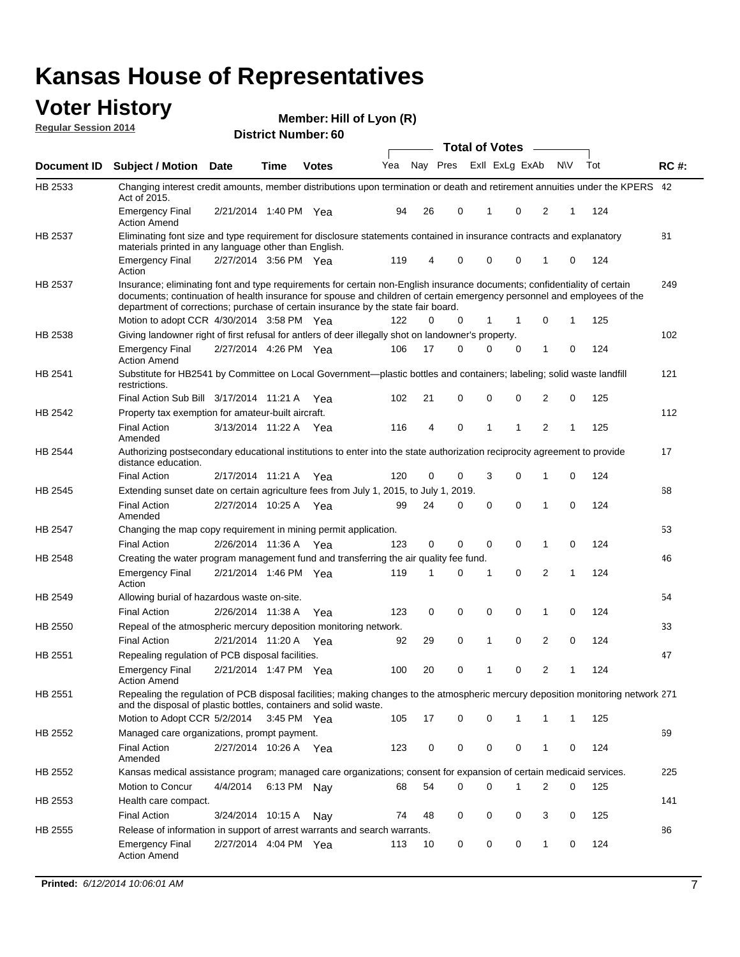#### **Voter History Regular Session 2014**

| <b>District Number: 60</b> |  |
|----------------------------|--|
|                            |  |

|                | <b>Total of Votes</b>                                                                                                                                                                                                                                                                                                                     |                       |             |              |     |    |                         |              |  |             |   |           |     |             |
|----------------|-------------------------------------------------------------------------------------------------------------------------------------------------------------------------------------------------------------------------------------------------------------------------------------------------------------------------------------------|-----------------------|-------------|--------------|-----|----|-------------------------|--------------|--|-------------|---|-----------|-----|-------------|
| Document ID    | <b>Subject / Motion</b>                                                                                                                                                                                                                                                                                                                   | Date                  | Time        | <b>Votes</b> | Yea |    | Nay Pres Exll ExLg ExAb |              |  |             |   | <b>NV</b> | Tot | <b>RC#:</b> |
| HB 2533        | Changing interest credit amounts, member distributions upon termination or death and retirement annuities under the KPERS 42<br>Act of 2015.                                                                                                                                                                                              |                       |             |              |     |    |                         |              |  |             |   |           |     |             |
|                | <b>Emergency Final</b><br><b>Action Amend</b>                                                                                                                                                                                                                                                                                             | 2/21/2014 1:40 PM Yea |             |              | 94  | 26 | 0                       | $\mathbf 1$  |  | $\mathbf 0$ | 2 | 1         | 124 |             |
| HB 2537        | Eliminating font size and type requirement for disclosure statements contained in insurance contracts and explanatory<br>materials printed in any language other than English.                                                                                                                                                            |                       |             |              |     |    |                         |              |  |             |   |           |     | 81          |
|                | <b>Emergency Final</b><br>Action                                                                                                                                                                                                                                                                                                          | 2/27/2014 3:56 PM Yea |             |              | 119 | 4  | 0                       | 0            |  | 0           | 1 | 0         | 124 |             |
| HB 2537        | Insurance; eliminating font and type requirements for certain non-English insurance documents; confidentiality of certain<br>documents; continuation of health insurance for spouse and children of certain emergency personnel and employees of the<br>department of corrections; purchase of certain insurance by the state fair board. |                       |             |              |     |    |                         |              |  |             |   |           |     | 249         |
|                | Motion to adopt CCR 4/30/2014 3:58 PM Yea                                                                                                                                                                                                                                                                                                 |                       |             |              | 122 | 0  | 0                       | 1            |  | 1           | 0 | 1         | 125 |             |
| HB 2538        | Giving landowner right of first refusal for antlers of deer illegally shot on landowner's property.                                                                                                                                                                                                                                       |                       |             |              |     |    |                         |              |  |             |   |           |     | 102         |
|                | <b>Emergency Final</b><br><b>Action Amend</b>                                                                                                                                                                                                                                                                                             | 2/27/2014 4:26 PM Yea |             |              | 106 | 17 | 0                       | $\Omega$     |  | 0           | 1 | 0         | 124 |             |
| HB 2541        | Substitute for HB2541 by Committee on Local Government—plastic bottles and containers; labeling; solid waste landfill<br>restrictions.                                                                                                                                                                                                    |                       |             |              |     |    |                         |              |  |             |   |           |     | 121         |
|                | Final Action Sub Bill 3/17/2014 11:21 A Yea                                                                                                                                                                                                                                                                                               |                       |             |              | 102 | 21 | 0                       | 0            |  | 0           | 2 | 0         | 125 |             |
| HB 2542        | Property tax exemption for amateur-built aircraft.                                                                                                                                                                                                                                                                                        |                       |             |              |     |    |                         |              |  |             |   |           |     | 112         |
|                | <b>Final Action</b><br>Amended                                                                                                                                                                                                                                                                                                            | 3/13/2014 11:22 A Yea |             |              | 116 | 4  | 0                       | $\mathbf{1}$ |  | 1           | 2 | 1         | 125 |             |
| HB 2544        | Authorizing postsecondary educational institutions to enter into the state authorization reciprocity agreement to provide<br>distance education.                                                                                                                                                                                          |                       |             |              |     |    |                         |              |  |             |   |           |     | 17          |
|                | <b>Final Action</b>                                                                                                                                                                                                                                                                                                                       | 2/17/2014 11:21 A Yea |             |              | 120 | 0  | 0                       | 3            |  | 0           | 1 | 0         | 124 |             |
| HB 2545        | Extending sunset date on certain agriculture fees from July 1, 2015, to July 1, 2019.                                                                                                                                                                                                                                                     |                       |             |              |     |    |                         |              |  |             |   |           |     | 68          |
|                | <b>Final Action</b><br>Amended                                                                                                                                                                                                                                                                                                            | 2/27/2014 10:25 A Yea |             |              | 99  | 24 | 0                       | $\mathbf 0$  |  | $\Omega$    | 1 | 0         | 124 |             |
| <b>HB 2547</b> | Changing the map copy requirement in mining permit application.                                                                                                                                                                                                                                                                           |                       |             |              |     |    |                         |              |  |             |   |           |     | 53          |
|                | <b>Final Action</b>                                                                                                                                                                                                                                                                                                                       | 2/26/2014 11:36 A     |             | Yea          | 123 | 0  | 0                       | 0            |  | 0           | 1 | 0         | 124 |             |
| HB 2548        | Creating the water program management fund and transferring the air quality fee fund.                                                                                                                                                                                                                                                     |                       |             |              |     |    |                         |              |  |             |   |           |     | 46          |
|                | <b>Emergency Final</b><br>Action                                                                                                                                                                                                                                                                                                          | 2/21/2014 1:46 PM Yea |             |              | 119 | 1  | 0                       | -1           |  | 0           | 2 | 1         | 124 |             |
| HB 2549        | Allowing burial of hazardous waste on-site.                                                                                                                                                                                                                                                                                               |                       |             |              |     |    |                         |              |  |             |   |           |     | 54          |
|                | <b>Final Action</b>                                                                                                                                                                                                                                                                                                                       | 2/26/2014 11:38 A     |             | Yea          | 123 | 0  | 0                       | $\mathbf 0$  |  | 0           | 1 | 0         | 124 |             |
| HB 2550        | Repeal of the atmospheric mercury deposition monitoring network.                                                                                                                                                                                                                                                                          |                       |             |              |     |    |                         |              |  |             |   |           |     | 33          |
|                | <b>Final Action</b>                                                                                                                                                                                                                                                                                                                       | 2/21/2014 11:20 A Yea |             |              | 92  | 29 | 0                       | $\mathbf{1}$ |  | 0           | 2 | 0         | 124 |             |
| HB 2551        | Repealing regulation of PCB disposal facilities.                                                                                                                                                                                                                                                                                          |                       |             |              |     |    |                         |              |  |             |   |           |     | 47          |
|                | <b>Emergency Final</b><br>Action Amend                                                                                                                                                                                                                                                                                                    | 2/21/2014 1:47 PM Yea |             |              | 100 | 20 | 0                       | $\mathbf{1}$ |  | 0           | 2 | 1         | 124 |             |
| HB 2551        | Repealing the regulation of PCB disposal facilities; making changes to the atmospheric mercury deposition monitoring network 271<br>and the disposal of plastic bottles, containers and solid waste.                                                                                                                                      |                       |             |              |     |    |                         |              |  |             |   |           |     |             |
|                | Motion to Adopt CCR 5/2/2014                                                                                                                                                                                                                                                                                                              |                       | 3:45 PM Yea |              | 105 | 17 | 0                       | 0            |  | 1           | 1 | 1         | 125 |             |
| HB 2552        | Managed care organizations, prompt payment.                                                                                                                                                                                                                                                                                               |                       |             |              |     |    |                         |              |  |             |   |           |     | 69          |
|                | <b>Final Action</b><br>Amended                                                                                                                                                                                                                                                                                                            | 2/27/2014 10:26 A Yea |             |              | 123 | 0  | 0                       | 0            |  | 0           | 1 | 0         | 124 |             |
| HB 2552        | Kansas medical assistance program; managed care organizations; consent for expansion of certain medicaid services.                                                                                                                                                                                                                        |                       |             |              |     |    |                         |              |  |             |   |           |     | 225         |
|                | Motion to Concur                                                                                                                                                                                                                                                                                                                          | 4/4/2014              | 6:13 PM Nay |              | 68  | 54 | 0                       | 0            |  | 1           | 2 | 0         | 125 |             |
| HB 2553        | Health care compact.                                                                                                                                                                                                                                                                                                                      |                       |             |              |     |    |                         |              |  |             |   |           |     | 141         |
|                | <b>Final Action</b>                                                                                                                                                                                                                                                                                                                       | 3/24/2014 10:15 A     |             | Nay          | 74  | 48 | 0                       | 0            |  | 0           | 3 | 0         | 125 |             |
| HB 2555        | Release of information in support of arrest warrants and search warrants.                                                                                                                                                                                                                                                                 |                       |             |              |     |    |                         |              |  |             |   |           |     | 86          |
|                | <b>Emergency Final</b><br><b>Action Amend</b>                                                                                                                                                                                                                                                                                             | 2/27/2014 4:04 PM Yea |             |              | 113 | 10 | 0                       | 0            |  | 0           | 1 | 0         | 124 |             |
|                |                                                                                                                                                                                                                                                                                                                                           |                       |             |              |     |    |                         |              |  |             |   |           |     |             |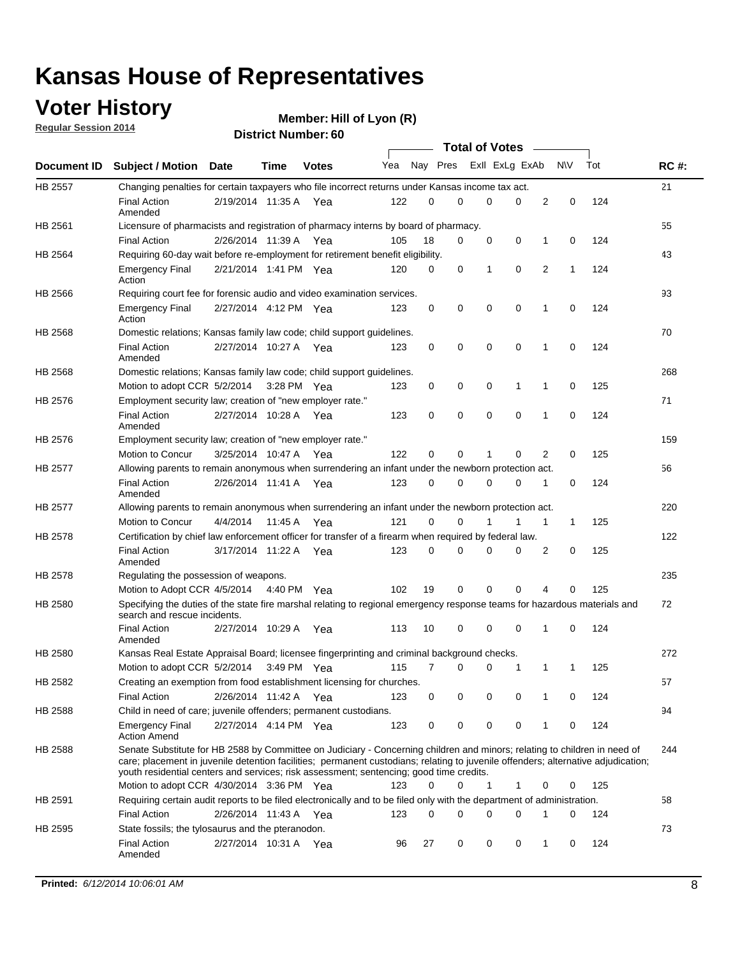### **Voter History**

**Regular Session 2014**

|         |                                                                                                                                                                                                                                                                                                                                                           |                       |         |              | <b>Total of Votes</b> |          |          |                |          |   |             |     |             |
|---------|-----------------------------------------------------------------------------------------------------------------------------------------------------------------------------------------------------------------------------------------------------------------------------------------------------------------------------------------------------------|-----------------------|---------|--------------|-----------------------|----------|----------|----------------|----------|---|-------------|-----|-------------|
|         | Document ID Subject / Motion                                                                                                                                                                                                                                                                                                                              | Date                  | Time    | <b>Votes</b> | Yea                   |          | Nay Pres | Exll ExLg ExAb |          |   | <b>NV</b>   | Tot | <b>RC#:</b> |
| HB 2557 | Changing penalties for certain taxpayers who file incorrect returns under Kansas income tax act.                                                                                                                                                                                                                                                          |                       |         |              |                       |          |          |                |          |   |             |     | 21          |
|         | <b>Final Action</b><br>Amended                                                                                                                                                                                                                                                                                                                            | 2/19/2014 11:35 A     |         | Yea          | 122                   | 0        | 0        | 0              | 0        | 2 | 0           | 124 |             |
| HB 2561 | Licensure of pharmacists and registration of pharmacy interns by board of pharmacy.                                                                                                                                                                                                                                                                       |                       |         |              |                       |          |          |                |          |   |             |     | 55          |
|         | <b>Final Action</b>                                                                                                                                                                                                                                                                                                                                       | 2/26/2014 11:39 A Yea |         |              | 105                   | 18       | 0        | 0              | 0        | 1 | 0           | 124 |             |
| HB 2564 | Requiring 60-day wait before re-employment for retirement benefit eligibility.                                                                                                                                                                                                                                                                            |                       |         |              |                       |          |          |                |          |   |             |     | 43          |
|         | <b>Emergency Final</b><br>Action                                                                                                                                                                                                                                                                                                                          | 2/21/2014 1:41 PM Yea |         |              | 120                   | 0        | 0        | 1              | 0        | 2 | 1           | 124 |             |
| HB 2566 | Requiring court fee for forensic audio and video examination services.                                                                                                                                                                                                                                                                                    |                       |         |              |                       |          |          |                |          |   |             |     | 93          |
|         | <b>Emergency Final</b><br>Action                                                                                                                                                                                                                                                                                                                          | 2/27/2014 4:12 PM Yea |         |              | 123                   | 0        | 0        | 0              | 0        | 1 | $\mathbf 0$ | 124 |             |
| HB 2568 | Domestic relations; Kansas family law code; child support guidelines.                                                                                                                                                                                                                                                                                     |                       |         |              |                       |          |          |                |          |   |             |     | 70          |
|         | <b>Final Action</b><br>Amended                                                                                                                                                                                                                                                                                                                            | 2/27/2014 10:27 A     |         | Yea          | 123                   | 0        | 0        | 0              | 0        | 1 | 0           | 124 |             |
| HB 2568 | Domestic relations; Kansas family law code; child support guidelines.                                                                                                                                                                                                                                                                                     |                       |         |              |                       |          |          |                |          |   |             |     | 268         |
|         | Motion to adopt CCR 5/2/2014 3:28 PM Yea                                                                                                                                                                                                                                                                                                                  |                       |         |              | 123                   | 0        | 0        | 0              | 1        | 1 | $\mathbf 0$ | 125 |             |
| HB 2576 | Employment security law; creation of "new employer rate."                                                                                                                                                                                                                                                                                                 |                       |         |              |                       |          |          |                |          |   |             |     | 71          |
|         | <b>Final Action</b><br>Amended                                                                                                                                                                                                                                                                                                                            | 2/27/2014 10:28 A     |         | Yea          | 123                   | 0        | 0        | 0              | 0        | 1 | $\mathbf 0$ | 124 |             |
| HB 2576 | Employment security law; creation of "new employer rate."                                                                                                                                                                                                                                                                                                 |                       |         |              |                       |          |          |                |          |   |             |     | 159         |
|         | Motion to Concur                                                                                                                                                                                                                                                                                                                                          | 3/25/2014 10:47 A     |         | Yea          | 122                   | 0        | 0        | 1              | 0        | 2 | 0           | 125 |             |
| HB 2577 | Allowing parents to remain anonymous when surrendering an infant under the newborn protection act.                                                                                                                                                                                                                                                        |                       |         |              |                       |          |          |                |          |   |             |     | 56          |
|         | <b>Final Action</b><br>Amended                                                                                                                                                                                                                                                                                                                            | 2/26/2014 11:41 A Yea |         |              | 123                   | $\Omega$ | 0        | 0              | 0        | 1 | 0           | 124 |             |
| HB 2577 | Allowing parents to remain anonymous when surrendering an infant under the newborn protection act.                                                                                                                                                                                                                                                        |                       |         |              |                       |          |          |                |          |   |             |     | 220         |
|         | Motion to Concur                                                                                                                                                                                                                                                                                                                                          | 4/4/2014              | 11:45 A | Yea          | 121                   | 0        | 0        |                | 1        | 1 | 1           | 125 |             |
| HB 2578 | Certification by chief law enforcement officer for transfer of a firearm when required by federal law.                                                                                                                                                                                                                                                    |                       |         |              |                       |          |          |                |          |   |             |     | 122         |
|         | <b>Final Action</b><br>Amended                                                                                                                                                                                                                                                                                                                            | 3/17/2014 11:22 A     |         | Yea          | 123                   | $\Omega$ | 0        | 0              | 0        | 2 | 0           | 125 |             |
| HB 2578 | Regulating the possession of weapons.                                                                                                                                                                                                                                                                                                                     |                       |         |              |                       |          |          |                |          |   |             |     | 235         |
|         | Motion to Adopt CCR 4/5/2014 4:40 PM Yea                                                                                                                                                                                                                                                                                                                  |                       |         |              | 102                   | 19       | 0        | 0              | $\Omega$ | 4 | 0           | 125 |             |
| HB 2580 | Specifying the duties of the state fire marshal relating to regional emergency response teams for hazardous materials and<br>search and rescue incidents.                                                                                                                                                                                                 |                       |         |              |                       |          |          |                |          |   |             |     | 72          |
|         | <b>Final Action</b><br>Amended                                                                                                                                                                                                                                                                                                                            | 2/27/2014 10:29 A     |         | Yea          | 113                   | 10       | 0        | 0              | 0        | 1 | 0           | 124 |             |
| HB 2580 | Kansas Real Estate Appraisal Board; licensee fingerprinting and criminal background checks.                                                                                                                                                                                                                                                               |                       |         |              |                       |          |          |                |          |   |             |     | 272         |
|         | Motion to adopt CCR 5/2/2014                                                                                                                                                                                                                                                                                                                              |                       |         | 3:49 PM Yea  | 115                   | 7        | 0        | 0              | 1        | 1 | 1           | 125 |             |
| HB 2582 | Creating an exemption from food establishment licensing for churches.                                                                                                                                                                                                                                                                                     |                       |         |              |                       |          |          |                |          |   |             |     | 57          |
|         | <b>Final Action</b>                                                                                                                                                                                                                                                                                                                                       | 2/26/2014 11:42 A Yea |         |              | 123                   | 0        | 0        | 0              | 0        | 1 | 0           | 124 |             |
| HB 2588 | Child in need of care; juvenile offenders; permanent custodians.                                                                                                                                                                                                                                                                                          |                       |         |              |                       |          |          |                |          |   |             |     | 94          |
|         | <b>Emergency Final</b><br><b>Action Amend</b>                                                                                                                                                                                                                                                                                                             | 2/27/2014 4:14 PM Yea |         |              | 123                   | 0        | 0        | 0              | 0        | 1 | 0           | 124 |             |
| HB 2588 | Senate Substitute for HB 2588 by Committee on Judiciary - Concerning children and minors; relating to children in need of<br>care; placement in juvenile detention facilities; permanent custodians; relating to juvenile offenders; alternative adjudication;<br>youth residential centers and services; risk assessment; sentencing; good time credits. |                       |         |              |                       |          |          |                |          |   |             |     | 244         |
|         | Motion to adopt CCR 4/30/2014 3:36 PM Yea                                                                                                                                                                                                                                                                                                                 |                       |         |              | 123                   | 0        | 0        | 1              | 1        | 0 | 0           | 125 |             |
| HB 2591 | Requiring certain audit reports to be filed electronically and to be filed only with the department of administration.                                                                                                                                                                                                                                    |                       |         |              |                       |          |          |                |          |   |             |     | 58          |
|         | <b>Final Action</b>                                                                                                                                                                                                                                                                                                                                       | 2/26/2014 11:43 A Yea |         |              | 123                   | 0        | 0        | 0              | 0        | 1 | 0           | 124 |             |
| HB 2595 | State fossils; the tylosaurus and the pteranodon.                                                                                                                                                                                                                                                                                                         |                       |         |              |                       |          |          |                |          |   |             |     | 73          |
|         | <b>Final Action</b><br>Amended                                                                                                                                                                                                                                                                                                                            | 2/27/2014 10:31 A Yea |         |              | 96                    | 27       | 0        | 0              | 0        | 1 | 0           | 124 |             |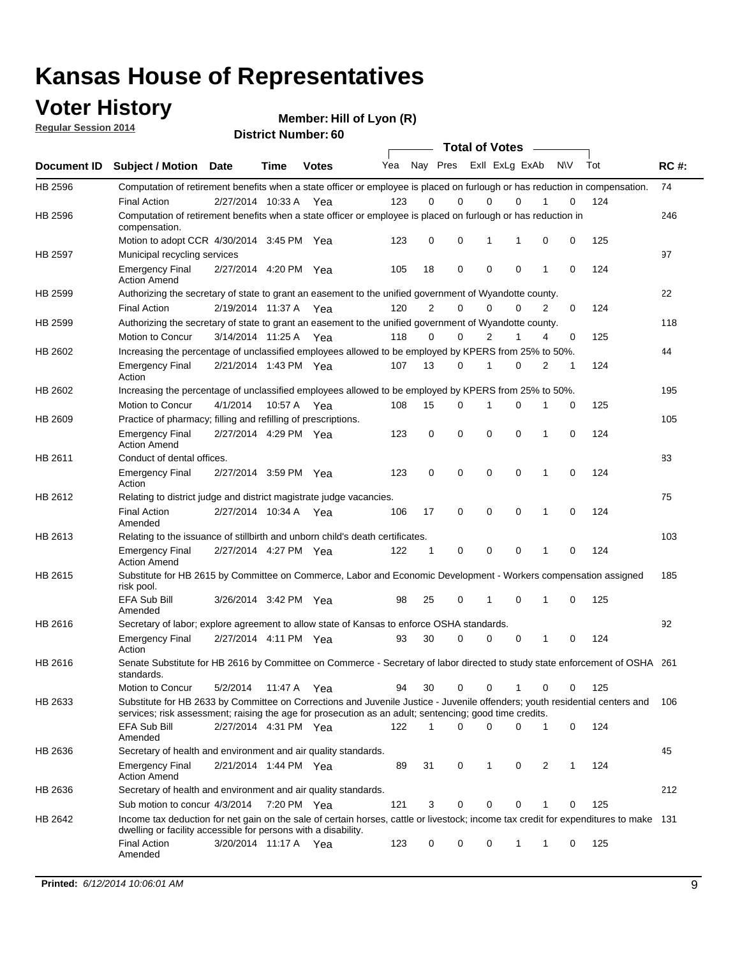### **Voter History**

**Regular Session 2014**

| <b>District Number: 60</b> |  |
|----------------------------|--|
|                            |  |

|         |                                                                                                                                                                                                                                       |                       |             |              |     |                | <b>Total of Votes</b>   |             |             |              |            |     |             |
|---------|---------------------------------------------------------------------------------------------------------------------------------------------------------------------------------------------------------------------------------------|-----------------------|-------------|--------------|-----|----------------|-------------------------|-------------|-------------|--------------|------------|-----|-------------|
|         | Document ID Subject / Motion Date                                                                                                                                                                                                     |                       | <b>Time</b> | <b>Votes</b> | Yea |                | Nay Pres Exll ExLg ExAb |             |             |              | <b>NIV</b> | Tot | <b>RC#:</b> |
| HB 2596 | Computation of retirement benefits when a state officer or employee is placed on furlough or has reduction in compensation.                                                                                                           |                       |             |              |     |                |                         |             |             |              |            |     | 74          |
|         | <b>Final Action</b>                                                                                                                                                                                                                   | 2/27/2014 10:33 A     |             | Yea          | 123 | 0              | 0                       | $\mathbf 0$ | $\Omega$    |              | 0          | 124 |             |
| HB 2596 | Computation of retirement benefits when a state officer or employee is placed on furlough or has reduction in<br>compensation.                                                                                                        |                       |             |              |     |                |                         |             |             |              |            |     | 246         |
|         | Motion to adopt CCR 4/30/2014 3:45 PM Yea                                                                                                                                                                                             |                       |             |              | 123 | 0              | 0                       | 1           | 1           | 0            | 0          | 125 |             |
| HB 2597 | Municipal recycling services                                                                                                                                                                                                          |                       |             |              |     |                |                         |             |             |              |            |     | 97          |
|         | <b>Emergency Final</b><br><b>Action Amend</b>                                                                                                                                                                                         | 2/27/2014 4:20 PM Yea |             |              | 105 | 18             | 0                       | $\mathbf 0$ | 0           | 1            | 0          | 124 |             |
| HB 2599 | Authorizing the secretary of state to grant an easement to the unified government of Wyandotte county.                                                                                                                                |                       |             |              |     |                |                         |             |             |              |            |     | 22          |
|         | <b>Final Action</b>                                                                                                                                                                                                                   | 2/19/2014 11:37 A     |             | Yea          | 120 | $\overline{2}$ | 0                       | 0           | $\Omega$    | 2            | $\Omega$   | 124 |             |
| HB 2599 | Authorizing the secretary of state to grant an easement to the unified government of Wyandotte county.                                                                                                                                |                       |             |              |     |                |                         |             |             |              |            |     | 118         |
|         | Motion to Concur                                                                                                                                                                                                                      | 3/14/2014 11:25 A Yea |             |              | 118 | 0              | 0                       | 2           | 1           | 4            | 0          | 125 |             |
| HB 2602 | Increasing the percentage of unclassified employees allowed to be employed by KPERS from 25% to 50%.                                                                                                                                  |                       |             |              |     |                |                         |             |             |              |            |     | 44          |
|         | <b>Emergency Final</b><br>Action                                                                                                                                                                                                      | 2/21/2014 1:43 PM Yea |             |              | 107 | 13             | 0                       | 1           | 0           | 2            | 1          | 124 |             |
| HB 2602 | Increasing the percentage of unclassified employees allowed to be employed by KPERS from 25% to 50%.                                                                                                                                  |                       |             |              |     |                |                         |             |             |              |            |     | 195         |
|         | Motion to Concur                                                                                                                                                                                                                      | 4/1/2014              | 10:57 A     | Yea          | 108 | 15             | 0                       | 1           | $\mathbf 0$ | 1            | 0          | 125 |             |
| HB 2609 | Practice of pharmacy; filling and refilling of prescriptions.                                                                                                                                                                         |                       |             |              |     |                |                         |             |             |              |            |     | 105         |
|         | <b>Emergency Final</b><br><b>Action Amend</b>                                                                                                                                                                                         | 2/27/2014 4:29 PM Yea |             |              | 123 | 0              | $\mathbf 0$             | $\mathbf 0$ | $\mathbf 0$ | 1            | 0          | 124 |             |
| HB 2611 | Conduct of dental offices.                                                                                                                                                                                                            |                       |             |              |     |                |                         |             |             |              |            |     | 83          |
|         | <b>Emergency Final</b><br>Action                                                                                                                                                                                                      | 2/27/2014 3:59 PM Yea |             |              | 123 | 0              | $\mathbf 0$             | $\mathbf 0$ | 0           | 1            | 0          | 124 |             |
| HB 2612 | Relating to district judge and district magistrate judge vacancies.                                                                                                                                                                   |                       |             |              |     |                |                         |             |             |              |            |     | 75          |
|         | <b>Final Action</b><br>Amended                                                                                                                                                                                                        | 2/27/2014 10:34 A     |             | Yea          | 106 | 17             | $\mathbf 0$             | $\mathbf 0$ | $\mathbf 0$ | 1            | 0          | 124 |             |
| HB 2613 | Relating to the issuance of stillbirth and unborn child's death certificates.                                                                                                                                                         |                       |             |              |     |                |                         |             |             |              |            |     | 103         |
|         | <b>Emergency Final</b><br><b>Action Amend</b>                                                                                                                                                                                         | 2/27/2014 4:27 PM Yea |             |              | 122 | $\mathbf{1}$   | $\mathbf 0$             | $\mathbf 0$ | $\Omega$    | $\mathbf{1}$ | $\Omega$   | 124 |             |
| HB 2615 | Substitute for HB 2615 by Committee on Commerce, Labor and Economic Development - Workers compensation assigned<br>risk pool.                                                                                                         |                       |             |              |     |                |                         |             |             |              |            |     | 185         |
|         | EFA Sub Bill<br>Amended                                                                                                                                                                                                               | 3/26/2014 3:42 PM Yea |             |              | 98  | 25             | 0                       | 1           | $\mathbf 0$ | 1            | 0          | 125 |             |
| HB 2616 | Secretary of labor; explore agreement to allow state of Kansas to enforce OSHA standards.                                                                                                                                             |                       |             |              |     |                |                         |             |             |              |            |     | 92          |
|         | <b>Emergency Final</b><br>Action                                                                                                                                                                                                      | 2/27/2014 4:11 PM Yea |             |              | 93  | 30             | $\Omega$                | $\mathbf 0$ | 0           | 1            | 0          | 124 |             |
| HB 2616 | Senate Substitute for HB 2616 by Committee on Commerce - Secretary of labor directed to study state enforcement of OSHA 261<br>standards.                                                                                             |                       |             |              |     |                |                         |             |             |              |            |     |             |
|         | Motion to Concur                                                                                                                                                                                                                      | 5/2/2014 11:47 A Yea  |             |              | 94  | 30             | $\mathbf 0$             | 0           | 1           | 0            | 0          | 125 |             |
| HB 2633 | Substitute for HB 2633 by Committee on Corrections and Juvenile Justice - Juvenile offenders; youth residential centers and<br>services; risk assessment; raising the age for prosecution as an adult; sentencing; good time credits. |                       |             |              |     |                |                         |             |             |              |            |     | 106         |
|         | EFA Sub Bill<br>Amended                                                                                                                                                                                                               | 2/27/2014 4:31 PM Yea |             |              | 122 | 1              | $\Omega$                | $\Omega$    | 0           | 1            | 0          | 124 |             |
| HB 2636 | Secretary of health and environment and air quality standards.                                                                                                                                                                        |                       |             |              |     |                |                         |             |             |              |            |     | 45          |
|         | <b>Emergency Final</b><br><b>Action Amend</b>                                                                                                                                                                                         | 2/21/2014 1:44 PM Yea |             |              | 89  | 31             | 0                       | 1           | 0           | 2            | 1          | 124 |             |
| HB 2636 | Secretary of health and environment and air quality standards.                                                                                                                                                                        |                       |             |              |     |                |                         |             |             |              |            |     | 212         |
|         | Sub motion to concur 4/3/2014 7:20 PM Yea                                                                                                                                                                                             |                       |             |              | 121 | 3              | 0                       | 0           | 0           |              | 0          | 125 |             |
| HB 2642 | Income tax deduction for net gain on the sale of certain horses, cattle or livestock; income tax credit for expenditures to make 131<br>dwelling or facility accessible for persons with a disability.                                |                       |             |              |     |                |                         |             |             |              |            |     |             |
|         | <b>Final Action</b><br>Amended                                                                                                                                                                                                        | 3/20/2014 11:17 A Yea |             |              | 123 | 0              | 0                       | 0           | 1           | 1            | 0          | 125 |             |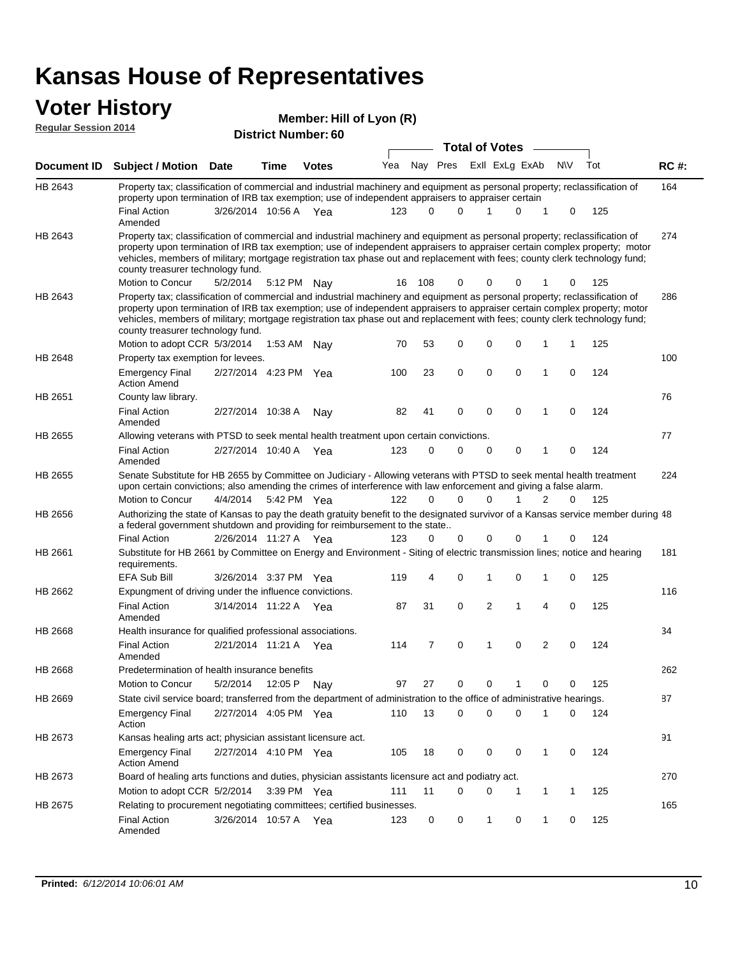#### **Voter History Member:**

| <b>VOTER HISTORY</b><br><b>Regular Session 2014</b> |                                                                                                                                                                                                                                                                                                                                                                                                                               |                       |             | Member: Hill of Lyon (R)   |     |     |             |          |                                         |          |   |           |       |             |
|-----------------------------------------------------|-------------------------------------------------------------------------------------------------------------------------------------------------------------------------------------------------------------------------------------------------------------------------------------------------------------------------------------------------------------------------------------------------------------------------------|-----------------------|-------------|----------------------------|-----|-----|-------------|----------|-----------------------------------------|----------|---|-----------|-------|-------------|
|                                                     |                                                                                                                                                                                                                                                                                                                                                                                                                               |                       |             | <b>District Number: 60</b> |     |     |             |          |                                         |          |   |           |       |             |
| Document ID                                         | <b>Subject / Motion</b>                                                                                                                                                                                                                                                                                                                                                                                                       | <b>Date</b>           | Time        | <b>Votes</b>               | Yea |     | Nay Pres    |          | <b>Total of Votes</b><br>Exll ExLg ExAb |          |   | <b>NV</b> | Tot   | <b>RC#:</b> |
|                                                     |                                                                                                                                                                                                                                                                                                                                                                                                                               |                       |             |                            |     |     |             |          |                                         |          |   |           |       |             |
| HB 2643                                             | Property tax; classification of commercial and industrial machinery and equipment as personal property; reclassification of<br>property upon termination of IRB tax exemption; use of independent appraisers to appraiser certain                                                                                                                                                                                             |                       |             |                            |     |     |             |          |                                         |          |   |           |       | 164         |
|                                                     | <b>Final Action</b><br>Amended                                                                                                                                                                                                                                                                                                                                                                                                | 3/26/2014 10:56 A Yea |             |                            | 123 | 0   | $\Omega$    |          | 1                                       | 0        | 1 | 0         | 125   |             |
| HB 2643                                             | Property tax; classification of commercial and industrial machinery and equipment as personal property; reclassification of<br>property upon termination of IRB tax exemption; use of independent appraisers to appraiser certain complex property; motor<br>vehicles, members of military; mortgage registration tax phase out and replacement with fees; county clerk technology fund;<br>county treasurer technology fund. |                       |             |                            |     |     |             |          |                                         |          |   |           |       | 274         |
|                                                     | Motion to Concur                                                                                                                                                                                                                                                                                                                                                                                                              | 5/2/2014              | 5:12 PM Nay |                            | 16  | 108 | 0           |          | 0                                       | 0        | 1 | 0         | 125   |             |
| HB 2643                                             | Property tax; classification of commercial and industrial machinery and equipment as personal property; reclassification of<br>property upon termination of IRB tax exemption; use of independent appraisers to appraiser certain complex property; motor<br>vehicles, members of military; mortgage registration tax phase out and replacement with fees; county clerk technology fund;<br>county treasurer technology fund. |                       |             |                            |     |     |             |          |                                         |          |   |           |       | 286         |
|                                                     | Motion to adopt CCR 5/3/2014                                                                                                                                                                                                                                                                                                                                                                                                  |                       | 1:53 AM Nav |                            | 70  | 53  | 0           |          | 0                                       | 0        | 1 | 1         | 125   |             |
| HB 2648                                             | Property tax exemption for levees.<br><b>Emergency Final</b><br><b>Action Amend</b>                                                                                                                                                                                                                                                                                                                                           | 2/27/2014 4:23 PM Yea |             |                            | 100 | 23  | $\mathbf 0$ |          | 0                                       | 0        | 1 | 0         | 124   | 100         |
| HB 2651                                             | County law library.                                                                                                                                                                                                                                                                                                                                                                                                           |                       |             |                            |     |     |             |          |                                         |          |   |           |       | 76          |
|                                                     | <b>Final Action</b><br>Amended                                                                                                                                                                                                                                                                                                                                                                                                | 2/27/2014 10:38 A     |             | Nay                        | 82  | 41  | 0           |          | $\mathbf 0$                             | 0        | 1 | 0         | 124   |             |
| HB 2655                                             | Allowing veterans with PTSD to seek mental health treatment upon certain convictions.                                                                                                                                                                                                                                                                                                                                         |                       |             |                            |     |     |             |          |                                         |          |   |           |       | 77          |
|                                                     | <b>Final Action</b><br>Amended                                                                                                                                                                                                                                                                                                                                                                                                | 2/27/2014 10:40 A Yea |             |                            | 123 | 0   | 0           |          | 0                                       | 0        | 1 | 0         | 124   |             |
| HB 2655                                             | Senate Substitute for HB 2655 by Committee on Judiciary - Allowing veterans with PTSD to seek mental health treatment<br>upon certain convictions; also amending the crimes of interference with law enforcement and giving a false alarm.                                                                                                                                                                                    |                       |             |                            |     |     |             |          |                                         |          |   |           |       | 224         |
|                                                     | Motion to Concur                                                                                                                                                                                                                                                                                                                                                                                                              | 4/4/2014              |             | 5:42 PM Yea                | 122 | 0   | $\Omega$    |          | 0                                       | 1        | 2 | 0         | 125   |             |
| HB 2656                                             | Authorizing the state of Kansas to pay the death gratuity benefit to the designated survivor of a Kansas service member during 48<br>a federal government shutdown and providing for reimbursement to the state                                                                                                                                                                                                               |                       |             |                            |     |     |             |          |                                         |          |   |           |       |             |
|                                                     | <b>Final Action</b>                                                                                                                                                                                                                                                                                                                                                                                                           | 2/26/2014 11:27 A Yea |             |                            | 123 | 0   | 0           |          | 0                                       | 0        | 1 | 0         | 124   |             |
| HB 2661                                             | Substitute for HB 2661 by Committee on Energy and Environment - Siting of electric transmission lines; notice and hearing<br>requirements.                                                                                                                                                                                                                                                                                    |                       |             |                            |     |     |             |          |                                         |          |   |           |       | 181         |
|                                                     | <b>EFA Sub Bill</b>                                                                                                                                                                                                                                                                                                                                                                                                           | 3/26/2014 3:37 PM Yea |             |                            | 119 | 4   | $\mathbf 0$ |          | 1                                       | 0        | 1 | 0         | 125   |             |
| HB 2662                                             | Expungment of driving under the influence convictions.                                                                                                                                                                                                                                                                                                                                                                        |                       |             |                            |     |     |             |          |                                         |          |   |           |       | 116         |
|                                                     | <b>Final Action</b><br>Amended                                                                                                                                                                                                                                                                                                                                                                                                | 3/14/2014 11:22 A Yea |             |                            | 87  | 31  | 0           |          | 2                                       | 1        | 4 | 0         | 125   |             |
| <b>HB 2668</b>                                      | Health insurance for qualified professional associations.                                                                                                                                                                                                                                                                                                                                                                     |                       |             |                            |     |     |             |          |                                         |          |   |           |       | 34          |
|                                                     | Final Action<br>Amended                                                                                                                                                                                                                                                                                                                                                                                                       | 2/21/2014 11:21 A Yea |             |                            | 114 |     | 7           | $\Omega$ | $\overline{1}$                          | $\Omega$ | 2 | $\Omega$  | - 124 |             |
| HB 2668                                             | Predetermination of health insurance benefits                                                                                                                                                                                                                                                                                                                                                                                 |                       |             |                            |     |     |             |          |                                         |          |   |           |       | 262         |
|                                                     | Motion to Concur                                                                                                                                                                                                                                                                                                                                                                                                              | 5/2/2014              | 12:05 P Nay |                            | 97  | 27  | 0           |          | 0                                       | 1        | 0 | 0         | 125   |             |
| HB 2669                                             | State civil service board; transferred from the department of administration to the office of administrative hearings.                                                                                                                                                                                                                                                                                                        |                       |             |                            |     |     |             |          |                                         |          |   |           |       | 87          |
|                                                     | <b>Emergency Final</b><br>Action                                                                                                                                                                                                                                                                                                                                                                                              | 2/27/2014 4:05 PM Yea |             |                            | 110 | 13  | $\Omega$    |          | 0                                       | 0        | 1 | 0         | 124   |             |
| HB 2673                                             | Kansas healing arts act; physician assistant licensure act.                                                                                                                                                                                                                                                                                                                                                                   |                       |             |                            |     |     |             |          |                                         |          |   |           |       | 91          |

Emergency Final 2/27/2014 4:10 PM Yea 405 18 0 0 0 1 0 124 HB 2673 Action Amend Kansas healing arts act; physician assistant licensure act. 270 Motion to adopt CCR 5/2/2014 3:39 PM Yea 111 11 0 0 1 1 1 125 HB 2673 Board of healing arts functions and duties, physician assistants licensure act and podiatry act. 165 Final Action 3/26/2014 10:57 A Yea 123 0 0 1 0 125 HB 2675 Amended Relating to procurement negotiating committees; certified businesses.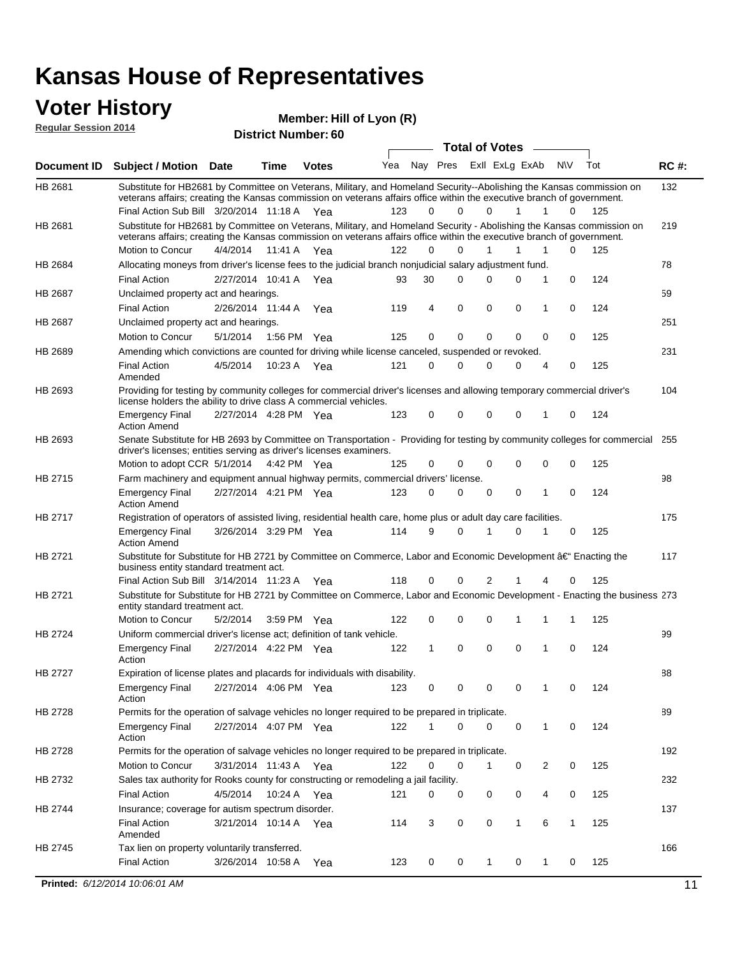#### **Voter History Regular Session 2014**

| <b>Total of Votes</b><br>Nay Pres ExII ExLg ExAb<br>Yea<br>N\V<br>Tot<br><b>RC#:</b><br><b>Subject / Motion Date</b><br><b>Time</b><br><b>Votes</b><br>132<br>Substitute for HB2681 by Committee on Veterans, Military, and Homeland Security--Abolishing the Kansas commission on<br>veterans affairs; creating the Kansas commission on veterans affairs office within the executive branch of government.<br>Final Action Sub Bill 3/20/2014 11:18 A Yea<br>123<br>$\Omega$<br>0<br>125<br>0<br>1<br>1<br>0<br>Substitute for HB2681 by Committee on Veterans, Military, and Homeland Security - Abolishing the Kansas commission on<br>219<br>veterans affairs; creating the Kansas commission on veterans affairs office within the executive branch of government.<br>Motion to Concur<br>4/4/2014<br>11:41 A<br>122<br>0<br>$\Omega$<br>1<br>1<br>0<br>125<br>1<br>Yea<br>Allocating moneys from driver's license fees to the judicial branch nonjudicial salary adjustment fund.<br>78<br>124<br><b>Final Action</b><br>2/27/2014 10:41 A Yea<br>30<br>$\Omega$<br>0<br>0<br>1<br>0<br>93<br>59<br>Unclaimed property act and hearings.<br>$\mathbf 0$<br>0<br><b>Final Action</b><br>2/26/2014 11:44 A<br>119<br>4<br>0<br>0<br>124<br>Yea<br>1<br>Unclaimed property act and hearings.<br>251<br>0<br>$\mathbf 0$<br>0<br>125<br>Motion to Concur<br>5/1/2014<br>1:56 PM Yea<br>125<br>0<br>0<br>0<br>231<br>Amending which convictions are counted for driving while license canceled, suspended or revoked.<br><b>Final Action</b><br>4/5/2014<br>10:23 A<br>121<br>0<br>0<br>0<br>0<br>4<br>0<br>125<br>Yea<br>Amended<br>Providing for testing by community colleges for commercial driver's licenses and allowing temporary commercial driver's<br>104<br>license holders the ability to drive class A commercial vehicles.<br>2/27/2014 4:28 PM Yea<br>123<br>0<br>0<br>0<br>0<br>0<br>124<br><b>Emergency Final</b><br>1<br><b>Action Amend</b><br>Senate Substitute for HB 2693 by Committee on Transportation - Providing for testing by community colleges for commercial<br>HB 2693<br>255<br>driver's licenses; entities serving as driver's licenses examiners.<br>Motion to adopt CCR 5/1/2014<br>0<br>0<br>125<br>4:42 PM Yea<br>125<br>0<br>$\Omega$<br>0<br>0<br>HB 2715<br>98<br>Farm machinery and equipment annual highway permits, commercial drivers' license.<br>2/27/2014 4:21 PM Yea<br>123<br>0<br>$\Omega$<br>0<br>0<br>124<br><b>Emergency Final</b><br>0<br>1<br><b>Action Amend</b><br>175<br>Registration of operators of assisted living, residential health care, home plus or adult day care facilities.<br>3/26/2014 3:29 PM Yea<br>114<br>9<br>$\Omega$<br>0<br>125<br><b>Emergency Final</b><br>1<br>0<br><b>Action Amend</b><br>Substitute for Substitute for HB 2721 by Committee on Commerce, Labor and Economic Development †Enacting the<br>117<br>business entity standard treatment act.<br>Final Action Sub Bill 3/14/2014 11:23 A Yea<br>118<br>0<br>0<br>2<br>0<br>125<br>1<br>4<br>Substitute for Substitute for HB 2721 by Committee on Commerce, Labor and Economic Development - Enacting the business 273<br>entity standard treatment act.<br>Motion to Concur<br>5/2/2014<br>122<br>0<br>0<br>125<br>3:59 PM Yea<br>0<br>1<br>1<br>1<br><b>HB 2724</b><br>99<br>Uniform commercial driver's license act; definition of tank vehicle.<br>2/27/2014 4:22 PM Yea<br>0<br>0<br>0<br>124<br><b>Emergency Final</b><br>122<br>1<br>1<br>0<br>Action<br>HB 2727<br>Expiration of license plates and placards for individuals with disability.<br>88<br><b>Emergency Final</b><br>2/27/2014 4:06 PM Yea<br>123<br>0<br>0<br>124<br>0<br>0<br>1<br>0<br>Action<br>89<br>Permits for the operation of salvage vehicles no longer required to be prepared in triplicate.<br>2/27/2014 4:07 PM Yea<br>122<br>$\Omega$<br>0<br>0<br>124<br><b>Emergency Final</b><br>1<br>0<br>1<br>Action<br>192<br>Permits for the operation of salvage vehicles no longer required to be prepared in triplicate.<br>Motion to Concur<br>3/31/2014 11:43 A Yea<br>122<br>0<br>0<br>0<br>2<br>0<br>125<br>1<br>Sales tax authority for Rooks county for constructing or remodeling a jail facility.<br>232<br><b>Final Action</b><br>4/5/2014<br>10:24 A Yea<br>0<br>0<br>0<br>125<br>121<br>0<br>0<br>4<br>Insurance; coverage for autism spectrum disorder.<br>137<br><b>Final Action</b><br>3/21/2014 10:14 A Yea<br>114<br>3<br>0<br>0<br>1<br>6<br>$\mathbf{1}$<br>125<br>Amended<br>166<br>Tax lien on property voluntarily transferred.<br><b>Final Action</b><br>3/26/2014 10:58 A<br>0<br>0<br>125<br>123<br>$\mathbf{1}$<br>0<br>1<br>0<br>Yea<br>Printed: 6/12/2014 10:06:01 AM | noguidi ocoololi 4014 |  | <b>District Number: 60</b> |  |  |  |  |    |
|--------------------------------------------------------------------------------------------------------------------------------------------------------------------------------------------------------------------------------------------------------------------------------------------------------------------------------------------------------------------------------------------------------------------------------------------------------------------------------------------------------------------------------------------------------------------------------------------------------------------------------------------------------------------------------------------------------------------------------------------------------------------------------------------------------------------------------------------------------------------------------------------------------------------------------------------------------------------------------------------------------------------------------------------------------------------------------------------------------------------------------------------------------------------------------------------------------------------------------------------------------------------------------------------------------------------------------------------------------------------------------------------------------------------------------------------------------------------------------------------------------------------------------------------------------------------------------------------------------------------------------------------------------------------------------------------------------------------------------------------------------------------------------------------------------------------------------------------------------------------------------------------------------------------------------------------------------------------------------------------------------------------------------------------------------------------------------------------------------------------------------------------------------------------------------------------------------------------------------------------------------------------------------------------------------------------------------------------------------------------------------------------------------------------------------------------------------------------------------------------------------------------------------------------------------------------------------------------------------------------------------------------------------------------------------------------------------------------------------------------------------------------------------------------------------------------------------------------------------------------------------------------------------------------------------------------------------------------------------------------------------------------------------------------------------------------------------------------------------------------------------------------------------------------------------------------------------------------------------------------------------------------------------------------------------------------------------------------------------------------------------------------------------------------------------------------------------------------------------------------------------------------------------------------------------------------------------------------------------------------------------------------------------------------------------------------------------------------------------------------------------------------------------------------------------------------------------------------------------------------------------------------------------------------------------------------------------------------------------------------------------------------------------------------------------------------------------------------------------------------------------------------------------------------------------------------------------------------------------------------------------------------------------------------------------------------------------------------------------------------------------------------------------------------------------------------------------------------------------------------------------------------------------------------------------------------------------------------------------------------------------------------------------------------------------------------------------------------------------|-----------------------|--|----------------------------|--|--|--|--|----|
|                                                                                                                                                                                                                                                                                                                                                                                                                                                                                                                                                                                                                                                                                                                                                                                                                                                                                                                                                                                                                                                                                                                                                                                                                                                                                                                                                                                                                                                                                                                                                                                                                                                                                                                                                                                                                                                                                                                                                                                                                                                                                                                                                                                                                                                                                                                                                                                                                                                                                                                                                                                                                                                                                                                                                                                                                                                                                                                                                                                                                                                                                                                                                                                                                                                                                                                                                                                                                                                                                                                                                                                                                                                                                                                                                                                                                                                                                                                                                                                                                                                                                                                                                                                                                                                                                                                                                                                                                                                                                                                                                                                                                                                                                                                                |                       |  |                            |  |  |  |  |    |
|                                                                                                                                                                                                                                                                                                                                                                                                                                                                                                                                                                                                                                                                                                                                                                                                                                                                                                                                                                                                                                                                                                                                                                                                                                                                                                                                                                                                                                                                                                                                                                                                                                                                                                                                                                                                                                                                                                                                                                                                                                                                                                                                                                                                                                                                                                                                                                                                                                                                                                                                                                                                                                                                                                                                                                                                                                                                                                                                                                                                                                                                                                                                                                                                                                                                                                                                                                                                                                                                                                                                                                                                                                                                                                                                                                                                                                                                                                                                                                                                                                                                                                                                                                                                                                                                                                                                                                                                                                                                                                                                                                                                                                                                                                                                | <b>Document ID</b>    |  |                            |  |  |  |  |    |
|                                                                                                                                                                                                                                                                                                                                                                                                                                                                                                                                                                                                                                                                                                                                                                                                                                                                                                                                                                                                                                                                                                                                                                                                                                                                                                                                                                                                                                                                                                                                                                                                                                                                                                                                                                                                                                                                                                                                                                                                                                                                                                                                                                                                                                                                                                                                                                                                                                                                                                                                                                                                                                                                                                                                                                                                                                                                                                                                                                                                                                                                                                                                                                                                                                                                                                                                                                                                                                                                                                                                                                                                                                                                                                                                                                                                                                                                                                                                                                                                                                                                                                                                                                                                                                                                                                                                                                                                                                                                                                                                                                                                                                                                                                                                | HB 2681               |  |                            |  |  |  |  |    |
|                                                                                                                                                                                                                                                                                                                                                                                                                                                                                                                                                                                                                                                                                                                                                                                                                                                                                                                                                                                                                                                                                                                                                                                                                                                                                                                                                                                                                                                                                                                                                                                                                                                                                                                                                                                                                                                                                                                                                                                                                                                                                                                                                                                                                                                                                                                                                                                                                                                                                                                                                                                                                                                                                                                                                                                                                                                                                                                                                                                                                                                                                                                                                                                                                                                                                                                                                                                                                                                                                                                                                                                                                                                                                                                                                                                                                                                                                                                                                                                                                                                                                                                                                                                                                                                                                                                                                                                                                                                                                                                                                                                                                                                                                                                                | HB 2681               |  |                            |  |  |  |  |    |
|                                                                                                                                                                                                                                                                                                                                                                                                                                                                                                                                                                                                                                                                                                                                                                                                                                                                                                                                                                                                                                                                                                                                                                                                                                                                                                                                                                                                                                                                                                                                                                                                                                                                                                                                                                                                                                                                                                                                                                                                                                                                                                                                                                                                                                                                                                                                                                                                                                                                                                                                                                                                                                                                                                                                                                                                                                                                                                                                                                                                                                                                                                                                                                                                                                                                                                                                                                                                                                                                                                                                                                                                                                                                                                                                                                                                                                                                                                                                                                                                                                                                                                                                                                                                                                                                                                                                                                                                                                                                                                                                                                                                                                                                                                                                |                       |  |                            |  |  |  |  |    |
|                                                                                                                                                                                                                                                                                                                                                                                                                                                                                                                                                                                                                                                                                                                                                                                                                                                                                                                                                                                                                                                                                                                                                                                                                                                                                                                                                                                                                                                                                                                                                                                                                                                                                                                                                                                                                                                                                                                                                                                                                                                                                                                                                                                                                                                                                                                                                                                                                                                                                                                                                                                                                                                                                                                                                                                                                                                                                                                                                                                                                                                                                                                                                                                                                                                                                                                                                                                                                                                                                                                                                                                                                                                                                                                                                                                                                                                                                                                                                                                                                                                                                                                                                                                                                                                                                                                                                                                                                                                                                                                                                                                                                                                                                                                                | HB 2684               |  |                            |  |  |  |  |    |
|                                                                                                                                                                                                                                                                                                                                                                                                                                                                                                                                                                                                                                                                                                                                                                                                                                                                                                                                                                                                                                                                                                                                                                                                                                                                                                                                                                                                                                                                                                                                                                                                                                                                                                                                                                                                                                                                                                                                                                                                                                                                                                                                                                                                                                                                                                                                                                                                                                                                                                                                                                                                                                                                                                                                                                                                                                                                                                                                                                                                                                                                                                                                                                                                                                                                                                                                                                                                                                                                                                                                                                                                                                                                                                                                                                                                                                                                                                                                                                                                                                                                                                                                                                                                                                                                                                                                                                                                                                                                                                                                                                                                                                                                                                                                |                       |  |                            |  |  |  |  |    |
|                                                                                                                                                                                                                                                                                                                                                                                                                                                                                                                                                                                                                                                                                                                                                                                                                                                                                                                                                                                                                                                                                                                                                                                                                                                                                                                                                                                                                                                                                                                                                                                                                                                                                                                                                                                                                                                                                                                                                                                                                                                                                                                                                                                                                                                                                                                                                                                                                                                                                                                                                                                                                                                                                                                                                                                                                                                                                                                                                                                                                                                                                                                                                                                                                                                                                                                                                                                                                                                                                                                                                                                                                                                                                                                                                                                                                                                                                                                                                                                                                                                                                                                                                                                                                                                                                                                                                                                                                                                                                                                                                                                                                                                                                                                                | HB 2687               |  |                            |  |  |  |  |    |
|                                                                                                                                                                                                                                                                                                                                                                                                                                                                                                                                                                                                                                                                                                                                                                                                                                                                                                                                                                                                                                                                                                                                                                                                                                                                                                                                                                                                                                                                                                                                                                                                                                                                                                                                                                                                                                                                                                                                                                                                                                                                                                                                                                                                                                                                                                                                                                                                                                                                                                                                                                                                                                                                                                                                                                                                                                                                                                                                                                                                                                                                                                                                                                                                                                                                                                                                                                                                                                                                                                                                                                                                                                                                                                                                                                                                                                                                                                                                                                                                                                                                                                                                                                                                                                                                                                                                                                                                                                                                                                                                                                                                                                                                                                                                |                       |  |                            |  |  |  |  |    |
|                                                                                                                                                                                                                                                                                                                                                                                                                                                                                                                                                                                                                                                                                                                                                                                                                                                                                                                                                                                                                                                                                                                                                                                                                                                                                                                                                                                                                                                                                                                                                                                                                                                                                                                                                                                                                                                                                                                                                                                                                                                                                                                                                                                                                                                                                                                                                                                                                                                                                                                                                                                                                                                                                                                                                                                                                                                                                                                                                                                                                                                                                                                                                                                                                                                                                                                                                                                                                                                                                                                                                                                                                                                                                                                                                                                                                                                                                                                                                                                                                                                                                                                                                                                                                                                                                                                                                                                                                                                                                                                                                                                                                                                                                                                                | <b>HB 2687</b>        |  |                            |  |  |  |  |    |
|                                                                                                                                                                                                                                                                                                                                                                                                                                                                                                                                                                                                                                                                                                                                                                                                                                                                                                                                                                                                                                                                                                                                                                                                                                                                                                                                                                                                                                                                                                                                                                                                                                                                                                                                                                                                                                                                                                                                                                                                                                                                                                                                                                                                                                                                                                                                                                                                                                                                                                                                                                                                                                                                                                                                                                                                                                                                                                                                                                                                                                                                                                                                                                                                                                                                                                                                                                                                                                                                                                                                                                                                                                                                                                                                                                                                                                                                                                                                                                                                                                                                                                                                                                                                                                                                                                                                                                                                                                                                                                                                                                                                                                                                                                                                |                       |  |                            |  |  |  |  |    |
|                                                                                                                                                                                                                                                                                                                                                                                                                                                                                                                                                                                                                                                                                                                                                                                                                                                                                                                                                                                                                                                                                                                                                                                                                                                                                                                                                                                                                                                                                                                                                                                                                                                                                                                                                                                                                                                                                                                                                                                                                                                                                                                                                                                                                                                                                                                                                                                                                                                                                                                                                                                                                                                                                                                                                                                                                                                                                                                                                                                                                                                                                                                                                                                                                                                                                                                                                                                                                                                                                                                                                                                                                                                                                                                                                                                                                                                                                                                                                                                                                                                                                                                                                                                                                                                                                                                                                                                                                                                                                                                                                                                                                                                                                                                                | <b>HB 2689</b>        |  |                            |  |  |  |  |    |
|                                                                                                                                                                                                                                                                                                                                                                                                                                                                                                                                                                                                                                                                                                                                                                                                                                                                                                                                                                                                                                                                                                                                                                                                                                                                                                                                                                                                                                                                                                                                                                                                                                                                                                                                                                                                                                                                                                                                                                                                                                                                                                                                                                                                                                                                                                                                                                                                                                                                                                                                                                                                                                                                                                                                                                                                                                                                                                                                                                                                                                                                                                                                                                                                                                                                                                                                                                                                                                                                                                                                                                                                                                                                                                                                                                                                                                                                                                                                                                                                                                                                                                                                                                                                                                                                                                                                                                                                                                                                                                                                                                                                                                                                                                                                |                       |  |                            |  |  |  |  |    |
|                                                                                                                                                                                                                                                                                                                                                                                                                                                                                                                                                                                                                                                                                                                                                                                                                                                                                                                                                                                                                                                                                                                                                                                                                                                                                                                                                                                                                                                                                                                                                                                                                                                                                                                                                                                                                                                                                                                                                                                                                                                                                                                                                                                                                                                                                                                                                                                                                                                                                                                                                                                                                                                                                                                                                                                                                                                                                                                                                                                                                                                                                                                                                                                                                                                                                                                                                                                                                                                                                                                                                                                                                                                                                                                                                                                                                                                                                                                                                                                                                                                                                                                                                                                                                                                                                                                                                                                                                                                                                                                                                                                                                                                                                                                                | HB 2693               |  |                            |  |  |  |  |    |
|                                                                                                                                                                                                                                                                                                                                                                                                                                                                                                                                                                                                                                                                                                                                                                                                                                                                                                                                                                                                                                                                                                                                                                                                                                                                                                                                                                                                                                                                                                                                                                                                                                                                                                                                                                                                                                                                                                                                                                                                                                                                                                                                                                                                                                                                                                                                                                                                                                                                                                                                                                                                                                                                                                                                                                                                                                                                                                                                                                                                                                                                                                                                                                                                                                                                                                                                                                                                                                                                                                                                                                                                                                                                                                                                                                                                                                                                                                                                                                                                                                                                                                                                                                                                                                                                                                                                                                                                                                                                                                                                                                                                                                                                                                                                |                       |  |                            |  |  |  |  |    |
|                                                                                                                                                                                                                                                                                                                                                                                                                                                                                                                                                                                                                                                                                                                                                                                                                                                                                                                                                                                                                                                                                                                                                                                                                                                                                                                                                                                                                                                                                                                                                                                                                                                                                                                                                                                                                                                                                                                                                                                                                                                                                                                                                                                                                                                                                                                                                                                                                                                                                                                                                                                                                                                                                                                                                                                                                                                                                                                                                                                                                                                                                                                                                                                                                                                                                                                                                                                                                                                                                                                                                                                                                                                                                                                                                                                                                                                                                                                                                                                                                                                                                                                                                                                                                                                                                                                                                                                                                                                                                                                                                                                                                                                                                                                                |                       |  |                            |  |  |  |  |    |
|                                                                                                                                                                                                                                                                                                                                                                                                                                                                                                                                                                                                                                                                                                                                                                                                                                                                                                                                                                                                                                                                                                                                                                                                                                                                                                                                                                                                                                                                                                                                                                                                                                                                                                                                                                                                                                                                                                                                                                                                                                                                                                                                                                                                                                                                                                                                                                                                                                                                                                                                                                                                                                                                                                                                                                                                                                                                                                                                                                                                                                                                                                                                                                                                                                                                                                                                                                                                                                                                                                                                                                                                                                                                                                                                                                                                                                                                                                                                                                                                                                                                                                                                                                                                                                                                                                                                                                                                                                                                                                                                                                                                                                                                                                                                |                       |  |                            |  |  |  |  |    |
|                                                                                                                                                                                                                                                                                                                                                                                                                                                                                                                                                                                                                                                                                                                                                                                                                                                                                                                                                                                                                                                                                                                                                                                                                                                                                                                                                                                                                                                                                                                                                                                                                                                                                                                                                                                                                                                                                                                                                                                                                                                                                                                                                                                                                                                                                                                                                                                                                                                                                                                                                                                                                                                                                                                                                                                                                                                                                                                                                                                                                                                                                                                                                                                                                                                                                                                                                                                                                                                                                                                                                                                                                                                                                                                                                                                                                                                                                                                                                                                                                                                                                                                                                                                                                                                                                                                                                                                                                                                                                                                                                                                                                                                                                                                                |                       |  |                            |  |  |  |  |    |
|                                                                                                                                                                                                                                                                                                                                                                                                                                                                                                                                                                                                                                                                                                                                                                                                                                                                                                                                                                                                                                                                                                                                                                                                                                                                                                                                                                                                                                                                                                                                                                                                                                                                                                                                                                                                                                                                                                                                                                                                                                                                                                                                                                                                                                                                                                                                                                                                                                                                                                                                                                                                                                                                                                                                                                                                                                                                                                                                                                                                                                                                                                                                                                                                                                                                                                                                                                                                                                                                                                                                                                                                                                                                                                                                                                                                                                                                                                                                                                                                                                                                                                                                                                                                                                                                                                                                                                                                                                                                                                                                                                                                                                                                                                                                | HB 2717               |  |                            |  |  |  |  |    |
|                                                                                                                                                                                                                                                                                                                                                                                                                                                                                                                                                                                                                                                                                                                                                                                                                                                                                                                                                                                                                                                                                                                                                                                                                                                                                                                                                                                                                                                                                                                                                                                                                                                                                                                                                                                                                                                                                                                                                                                                                                                                                                                                                                                                                                                                                                                                                                                                                                                                                                                                                                                                                                                                                                                                                                                                                                                                                                                                                                                                                                                                                                                                                                                                                                                                                                                                                                                                                                                                                                                                                                                                                                                                                                                                                                                                                                                                                                                                                                                                                                                                                                                                                                                                                                                                                                                                                                                                                                                                                                                                                                                                                                                                                                                                |                       |  |                            |  |  |  |  |    |
|                                                                                                                                                                                                                                                                                                                                                                                                                                                                                                                                                                                                                                                                                                                                                                                                                                                                                                                                                                                                                                                                                                                                                                                                                                                                                                                                                                                                                                                                                                                                                                                                                                                                                                                                                                                                                                                                                                                                                                                                                                                                                                                                                                                                                                                                                                                                                                                                                                                                                                                                                                                                                                                                                                                                                                                                                                                                                                                                                                                                                                                                                                                                                                                                                                                                                                                                                                                                                                                                                                                                                                                                                                                                                                                                                                                                                                                                                                                                                                                                                                                                                                                                                                                                                                                                                                                                                                                                                                                                                                                                                                                                                                                                                                                                | HB 2721               |  |                            |  |  |  |  |    |
|                                                                                                                                                                                                                                                                                                                                                                                                                                                                                                                                                                                                                                                                                                                                                                                                                                                                                                                                                                                                                                                                                                                                                                                                                                                                                                                                                                                                                                                                                                                                                                                                                                                                                                                                                                                                                                                                                                                                                                                                                                                                                                                                                                                                                                                                                                                                                                                                                                                                                                                                                                                                                                                                                                                                                                                                                                                                                                                                                                                                                                                                                                                                                                                                                                                                                                                                                                                                                                                                                                                                                                                                                                                                                                                                                                                                                                                                                                                                                                                                                                                                                                                                                                                                                                                                                                                                                                                                                                                                                                                                                                                                                                                                                                                                |                       |  |                            |  |  |  |  |    |
|                                                                                                                                                                                                                                                                                                                                                                                                                                                                                                                                                                                                                                                                                                                                                                                                                                                                                                                                                                                                                                                                                                                                                                                                                                                                                                                                                                                                                                                                                                                                                                                                                                                                                                                                                                                                                                                                                                                                                                                                                                                                                                                                                                                                                                                                                                                                                                                                                                                                                                                                                                                                                                                                                                                                                                                                                                                                                                                                                                                                                                                                                                                                                                                                                                                                                                                                                                                                                                                                                                                                                                                                                                                                                                                                                                                                                                                                                                                                                                                                                                                                                                                                                                                                                                                                                                                                                                                                                                                                                                                                                                                                                                                                                                                                | HB 2721               |  |                            |  |  |  |  |    |
|                                                                                                                                                                                                                                                                                                                                                                                                                                                                                                                                                                                                                                                                                                                                                                                                                                                                                                                                                                                                                                                                                                                                                                                                                                                                                                                                                                                                                                                                                                                                                                                                                                                                                                                                                                                                                                                                                                                                                                                                                                                                                                                                                                                                                                                                                                                                                                                                                                                                                                                                                                                                                                                                                                                                                                                                                                                                                                                                                                                                                                                                                                                                                                                                                                                                                                                                                                                                                                                                                                                                                                                                                                                                                                                                                                                                                                                                                                                                                                                                                                                                                                                                                                                                                                                                                                                                                                                                                                                                                                                                                                                                                                                                                                                                |                       |  |                            |  |  |  |  |    |
|                                                                                                                                                                                                                                                                                                                                                                                                                                                                                                                                                                                                                                                                                                                                                                                                                                                                                                                                                                                                                                                                                                                                                                                                                                                                                                                                                                                                                                                                                                                                                                                                                                                                                                                                                                                                                                                                                                                                                                                                                                                                                                                                                                                                                                                                                                                                                                                                                                                                                                                                                                                                                                                                                                                                                                                                                                                                                                                                                                                                                                                                                                                                                                                                                                                                                                                                                                                                                                                                                                                                                                                                                                                                                                                                                                                                                                                                                                                                                                                                                                                                                                                                                                                                                                                                                                                                                                                                                                                                                                                                                                                                                                                                                                                                |                       |  |                            |  |  |  |  |    |
|                                                                                                                                                                                                                                                                                                                                                                                                                                                                                                                                                                                                                                                                                                                                                                                                                                                                                                                                                                                                                                                                                                                                                                                                                                                                                                                                                                                                                                                                                                                                                                                                                                                                                                                                                                                                                                                                                                                                                                                                                                                                                                                                                                                                                                                                                                                                                                                                                                                                                                                                                                                                                                                                                                                                                                                                                                                                                                                                                                                                                                                                                                                                                                                                                                                                                                                                                                                                                                                                                                                                                                                                                                                                                                                                                                                                                                                                                                                                                                                                                                                                                                                                                                                                                                                                                                                                                                                                                                                                                                                                                                                                                                                                                                                                |                       |  |                            |  |  |  |  |    |
|                                                                                                                                                                                                                                                                                                                                                                                                                                                                                                                                                                                                                                                                                                                                                                                                                                                                                                                                                                                                                                                                                                                                                                                                                                                                                                                                                                                                                                                                                                                                                                                                                                                                                                                                                                                                                                                                                                                                                                                                                                                                                                                                                                                                                                                                                                                                                                                                                                                                                                                                                                                                                                                                                                                                                                                                                                                                                                                                                                                                                                                                                                                                                                                                                                                                                                                                                                                                                                                                                                                                                                                                                                                                                                                                                                                                                                                                                                                                                                                                                                                                                                                                                                                                                                                                                                                                                                                                                                                                                                                                                                                                                                                                                                                                |                       |  |                            |  |  |  |  |    |
|                                                                                                                                                                                                                                                                                                                                                                                                                                                                                                                                                                                                                                                                                                                                                                                                                                                                                                                                                                                                                                                                                                                                                                                                                                                                                                                                                                                                                                                                                                                                                                                                                                                                                                                                                                                                                                                                                                                                                                                                                                                                                                                                                                                                                                                                                                                                                                                                                                                                                                                                                                                                                                                                                                                                                                                                                                                                                                                                                                                                                                                                                                                                                                                                                                                                                                                                                                                                                                                                                                                                                                                                                                                                                                                                                                                                                                                                                                                                                                                                                                                                                                                                                                                                                                                                                                                                                                                                                                                                                                                                                                                                                                                                                                                                | HB 2728               |  |                            |  |  |  |  |    |
|                                                                                                                                                                                                                                                                                                                                                                                                                                                                                                                                                                                                                                                                                                                                                                                                                                                                                                                                                                                                                                                                                                                                                                                                                                                                                                                                                                                                                                                                                                                                                                                                                                                                                                                                                                                                                                                                                                                                                                                                                                                                                                                                                                                                                                                                                                                                                                                                                                                                                                                                                                                                                                                                                                                                                                                                                                                                                                                                                                                                                                                                                                                                                                                                                                                                                                                                                                                                                                                                                                                                                                                                                                                                                                                                                                                                                                                                                                                                                                                                                                                                                                                                                                                                                                                                                                                                                                                                                                                                                                                                                                                                                                                                                                                                |                       |  |                            |  |  |  |  |    |
|                                                                                                                                                                                                                                                                                                                                                                                                                                                                                                                                                                                                                                                                                                                                                                                                                                                                                                                                                                                                                                                                                                                                                                                                                                                                                                                                                                                                                                                                                                                                                                                                                                                                                                                                                                                                                                                                                                                                                                                                                                                                                                                                                                                                                                                                                                                                                                                                                                                                                                                                                                                                                                                                                                                                                                                                                                                                                                                                                                                                                                                                                                                                                                                                                                                                                                                                                                                                                                                                                                                                                                                                                                                                                                                                                                                                                                                                                                                                                                                                                                                                                                                                                                                                                                                                                                                                                                                                                                                                                                                                                                                                                                                                                                                                | HB 2728               |  |                            |  |  |  |  |    |
|                                                                                                                                                                                                                                                                                                                                                                                                                                                                                                                                                                                                                                                                                                                                                                                                                                                                                                                                                                                                                                                                                                                                                                                                                                                                                                                                                                                                                                                                                                                                                                                                                                                                                                                                                                                                                                                                                                                                                                                                                                                                                                                                                                                                                                                                                                                                                                                                                                                                                                                                                                                                                                                                                                                                                                                                                                                                                                                                                                                                                                                                                                                                                                                                                                                                                                                                                                                                                                                                                                                                                                                                                                                                                                                                                                                                                                                                                                                                                                                                                                                                                                                                                                                                                                                                                                                                                                                                                                                                                                                                                                                                                                                                                                                                |                       |  |                            |  |  |  |  |    |
|                                                                                                                                                                                                                                                                                                                                                                                                                                                                                                                                                                                                                                                                                                                                                                                                                                                                                                                                                                                                                                                                                                                                                                                                                                                                                                                                                                                                                                                                                                                                                                                                                                                                                                                                                                                                                                                                                                                                                                                                                                                                                                                                                                                                                                                                                                                                                                                                                                                                                                                                                                                                                                                                                                                                                                                                                                                                                                                                                                                                                                                                                                                                                                                                                                                                                                                                                                                                                                                                                                                                                                                                                                                                                                                                                                                                                                                                                                                                                                                                                                                                                                                                                                                                                                                                                                                                                                                                                                                                                                                                                                                                                                                                                                                                | HB 2732               |  |                            |  |  |  |  |    |
|                                                                                                                                                                                                                                                                                                                                                                                                                                                                                                                                                                                                                                                                                                                                                                                                                                                                                                                                                                                                                                                                                                                                                                                                                                                                                                                                                                                                                                                                                                                                                                                                                                                                                                                                                                                                                                                                                                                                                                                                                                                                                                                                                                                                                                                                                                                                                                                                                                                                                                                                                                                                                                                                                                                                                                                                                                                                                                                                                                                                                                                                                                                                                                                                                                                                                                                                                                                                                                                                                                                                                                                                                                                                                                                                                                                                                                                                                                                                                                                                                                                                                                                                                                                                                                                                                                                                                                                                                                                                                                                                                                                                                                                                                                                                |                       |  |                            |  |  |  |  |    |
|                                                                                                                                                                                                                                                                                                                                                                                                                                                                                                                                                                                                                                                                                                                                                                                                                                                                                                                                                                                                                                                                                                                                                                                                                                                                                                                                                                                                                                                                                                                                                                                                                                                                                                                                                                                                                                                                                                                                                                                                                                                                                                                                                                                                                                                                                                                                                                                                                                                                                                                                                                                                                                                                                                                                                                                                                                                                                                                                                                                                                                                                                                                                                                                                                                                                                                                                                                                                                                                                                                                                                                                                                                                                                                                                                                                                                                                                                                                                                                                                                                                                                                                                                                                                                                                                                                                                                                                                                                                                                                                                                                                                                                                                                                                                | HB 2744               |  |                            |  |  |  |  |    |
|                                                                                                                                                                                                                                                                                                                                                                                                                                                                                                                                                                                                                                                                                                                                                                                                                                                                                                                                                                                                                                                                                                                                                                                                                                                                                                                                                                                                                                                                                                                                                                                                                                                                                                                                                                                                                                                                                                                                                                                                                                                                                                                                                                                                                                                                                                                                                                                                                                                                                                                                                                                                                                                                                                                                                                                                                                                                                                                                                                                                                                                                                                                                                                                                                                                                                                                                                                                                                                                                                                                                                                                                                                                                                                                                                                                                                                                                                                                                                                                                                                                                                                                                                                                                                                                                                                                                                                                                                                                                                                                                                                                                                                                                                                                                |                       |  |                            |  |  |  |  |    |
|                                                                                                                                                                                                                                                                                                                                                                                                                                                                                                                                                                                                                                                                                                                                                                                                                                                                                                                                                                                                                                                                                                                                                                                                                                                                                                                                                                                                                                                                                                                                                                                                                                                                                                                                                                                                                                                                                                                                                                                                                                                                                                                                                                                                                                                                                                                                                                                                                                                                                                                                                                                                                                                                                                                                                                                                                                                                                                                                                                                                                                                                                                                                                                                                                                                                                                                                                                                                                                                                                                                                                                                                                                                                                                                                                                                                                                                                                                                                                                                                                                                                                                                                                                                                                                                                                                                                                                                                                                                                                                                                                                                                                                                                                                                                | HB 2745               |  |                            |  |  |  |  |    |
|                                                                                                                                                                                                                                                                                                                                                                                                                                                                                                                                                                                                                                                                                                                                                                                                                                                                                                                                                                                                                                                                                                                                                                                                                                                                                                                                                                                                                                                                                                                                                                                                                                                                                                                                                                                                                                                                                                                                                                                                                                                                                                                                                                                                                                                                                                                                                                                                                                                                                                                                                                                                                                                                                                                                                                                                                                                                                                                                                                                                                                                                                                                                                                                                                                                                                                                                                                                                                                                                                                                                                                                                                                                                                                                                                                                                                                                                                                                                                                                                                                                                                                                                                                                                                                                                                                                                                                                                                                                                                                                                                                                                                                                                                                                                |                       |  |                            |  |  |  |  |    |
|                                                                                                                                                                                                                                                                                                                                                                                                                                                                                                                                                                                                                                                                                                                                                                                                                                                                                                                                                                                                                                                                                                                                                                                                                                                                                                                                                                                                                                                                                                                                                                                                                                                                                                                                                                                                                                                                                                                                                                                                                                                                                                                                                                                                                                                                                                                                                                                                                                                                                                                                                                                                                                                                                                                                                                                                                                                                                                                                                                                                                                                                                                                                                                                                                                                                                                                                                                                                                                                                                                                                                                                                                                                                                                                                                                                                                                                                                                                                                                                                                                                                                                                                                                                                                                                                                                                                                                                                                                                                                                                                                                                                                                                                                                                                |                       |  |                            |  |  |  |  | 11 |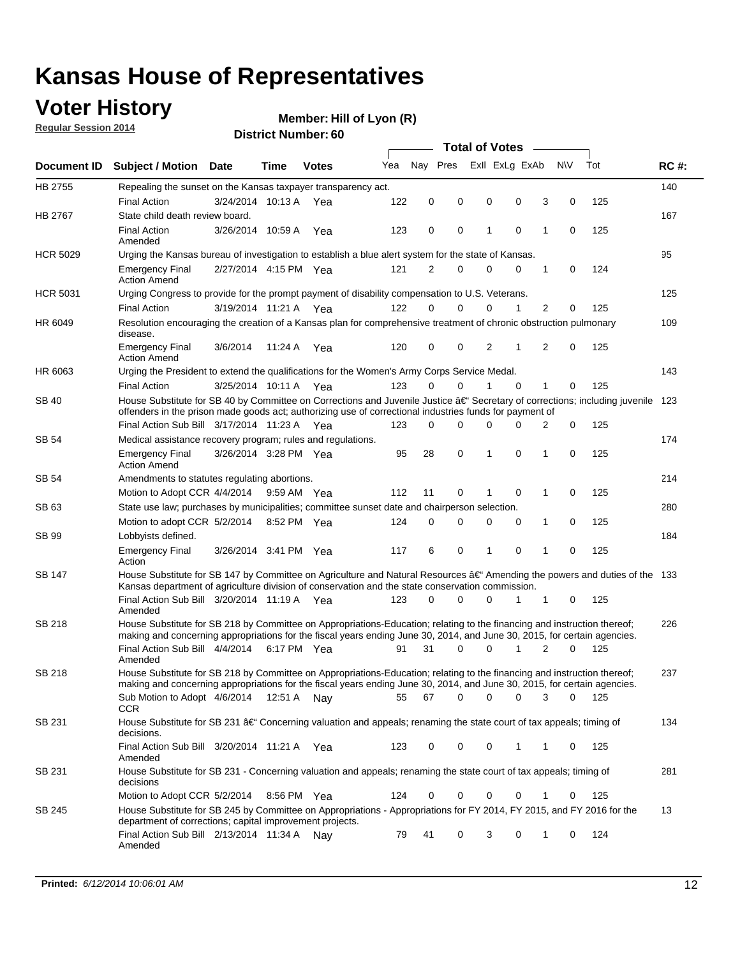### **Voter History**

**Regular Session 2014**

**Member: Hill of Lyon (R)** 

|                 |                                                                                                                                                                                                                                                      |                       |             |              |     |             |          | <b>Total of Votes</b> |             |                |             |     |             |
|-----------------|------------------------------------------------------------------------------------------------------------------------------------------------------------------------------------------------------------------------------------------------------|-----------------------|-------------|--------------|-----|-------------|----------|-----------------------|-------------|----------------|-------------|-----|-------------|
|                 | Document ID Subject / Motion Date                                                                                                                                                                                                                    |                       | Time        | <b>Votes</b> | Yea | Nay Pres    |          | Exll ExLg ExAb        |             |                | N\V         | Tot | <b>RC#:</b> |
| HB 2755         | Repealing the sunset on the Kansas taxpayer transparency act.                                                                                                                                                                                        |                       |             |              |     |             |          |                       |             |                |             |     | 140         |
|                 | <b>Final Action</b>                                                                                                                                                                                                                                  | 3/24/2014 10:13 A     |             | Yea          | 122 | 0           | 0        | 0                     | 0           | 3              | 0           | 125 |             |
| HB 2767         | State child death review board.                                                                                                                                                                                                                      |                       |             |              |     |             |          |                       |             |                |             |     | 167         |
|                 | <b>Final Action</b><br>Amended                                                                                                                                                                                                                       | 3/26/2014 10:59 A     |             | Yea          | 123 | 0           | 0        | 1                     | 0           | 1              | 0           | 125 |             |
| <b>HCR 5029</b> | Urging the Kansas bureau of investigation to establish a blue alert system for the state of Kansas.                                                                                                                                                  |                       |             |              |     |             |          |                       |             |                |             |     | 95          |
|                 | <b>Emergency Final</b><br><b>Action Amend</b>                                                                                                                                                                                                        | 2/27/2014 4:15 PM Yea |             |              | 121 | 2           | 0        | 0                     | 0           | 1              | 0           | 124 |             |
| <b>HCR 5031</b> | Urging Congress to provide for the prompt payment of disability compensation to U.S. Veterans.                                                                                                                                                       |                       |             |              |     |             |          |                       |             |                |             |     | 125         |
|                 | <b>Final Action</b>                                                                                                                                                                                                                                  | 3/19/2014 11:21 A Yea |             |              | 122 | $\Omega$    | $\Omega$ | 0                     | 1           | $\overline{2}$ | 0           | 125 |             |
| HR 6049         | Resolution encouraging the creation of a Kansas plan for comprehensive treatment of chronic obstruction pulmonary<br>disease.                                                                                                                        |                       |             |              |     |             |          |                       |             |                |             |     | 109         |
|                 | <b>Emergency Final</b><br><b>Action Amend</b>                                                                                                                                                                                                        | 3/6/2014              | 11:24 A Yea |              | 120 | 0           | 0        | 2                     | 1           | 2              | $\mathbf 0$ | 125 |             |
| HR 6063         | Urging the President to extend the qualifications for the Women's Army Corps Service Medal.                                                                                                                                                          |                       |             |              |     |             |          |                       |             |                |             |     | 143         |
|                 | <b>Final Action</b>                                                                                                                                                                                                                                  | 3/25/2014 10:11 A Yea |             |              | 123 | $\Omega$    | 0        | 1                     | $\mathbf 0$ | 1              | 0           | 125 |             |
| SB 40           | House Substitute for SB 40 by Committee on Corrections and Juvenile Justice †Secretary of corrections; including juvenile<br>offenders in the prison made goods act; authorizing use of correctional industries funds for payment of                 |                       |             |              |     |             |          |                       |             |                |             |     | 123         |
|                 | Final Action Sub Bill 3/17/2014 11:23 A Yea                                                                                                                                                                                                          |                       |             |              | 123 | 0           | 0        | 0                     | 0           | 2              | 0           | 125 |             |
| SB 54           | Medical assistance recovery program; rules and regulations.                                                                                                                                                                                          |                       |             |              |     |             |          |                       |             |                |             |     | 174         |
|                 | <b>Emergency Final</b><br><b>Action Amend</b>                                                                                                                                                                                                        | 3/26/2014 3:28 PM Yea |             |              | 95  | 28          | 0        | 1                     | $\mathbf 0$ | 1              | 0           | 125 |             |
| SB 54           | Amendments to statutes regulating abortions.                                                                                                                                                                                                         |                       |             |              |     |             |          |                       |             |                |             |     | 214         |
|                 | Motion to Adopt CCR 4/4/2014 9:59 AM Yea                                                                                                                                                                                                             |                       |             |              | 112 | 11          | 0        | 1                     | $\mathbf 0$ | 1              | 0           | 125 |             |
| SB 63           | State use law; purchases by municipalities; committee sunset date and chairperson selection.                                                                                                                                                         |                       |             |              |     |             |          |                       |             |                |             |     | 280         |
|                 | Motion to adopt CCR 5/2/2014                                                                                                                                                                                                                         |                       | 8:52 PM Yea |              | 124 | $\mathbf 0$ | 0        | 0                     | $\mathbf 0$ | 1              | 0           | 125 |             |
| SB 99           | Lobbyists defined.                                                                                                                                                                                                                                   |                       |             |              |     |             |          |                       |             |                |             |     | 184         |
|                 | <b>Emergency Final</b><br>Action                                                                                                                                                                                                                     | 3/26/2014 3:41 PM Yea |             |              | 117 | 6           | 0        | 1                     | $\mathbf 0$ | 1              | $\mathbf 0$ | 125 |             |
| SB 147          | House Substitute for SB 147 by Committee on Agriculture and Natural Resources †Amending the powers and duties of the 133<br>Kansas department of agriculture division of conservation and the state conservation commission.                         |                       |             |              |     |             |          |                       |             |                |             |     |             |
|                 | Final Action Sub Bill 3/20/2014 11:19 A Yea<br>Amended                                                                                                                                                                                               |                       |             |              | 123 | 0           | $\Omega$ | 0                     | 1           | 1              | 0           | 125 |             |
| SB 218          | House Substitute for SB 218 by Committee on Appropriations-Education; relating to the financing and instruction thereof;<br>making and concerning appropriations for the fiscal years ending June 30, 2014, and June 30, 2015, for certain agencies. |                       |             |              |     |             |          |                       |             |                |             |     | 226         |
|                 | Final Action Sub Bill 4/4/2014 6:17 PM Yea<br>Amended                                                                                                                                                                                                |                       |             |              | 91  | 31          | $\Omega$ | 0                     | 1           | 2              | 0           | 125 |             |
| SB 218          | House Substitute for SB 218 by Committee on Appropriations-Education; relating to the financing and instruction thereof;                                                                                                                             |                       |             |              |     |             |          |                       |             |                |             |     | 237         |
|                 | making and concerning appropriations for the fiscal years ending June 30, 2014, and June 30, 2015, for certain agencies.<br>Sub Motion to Adopt 4/6/2014 12:51 A Nay<br><b>CCR</b>                                                                   |                       |             |              | 55  | 67          | 0        | 0                     | 0           | 3              | 0           | 125 |             |
| SB 231          | House Substitute for SB 231 †Concerning valuation and appeals; renaming the state court of tax appeals; timing of<br>decisions.                                                                                                                      |                       |             |              |     |             |          |                       |             |                |             |     | 134         |
|                 | Final Action Sub Bill 3/20/2014 11:21 A Yea<br>Amended                                                                                                                                                                                               |                       |             |              | 123 | 0           | 0        | 0                     | 1           | 1              | 0           | 125 |             |
| SB 231          | House Substitute for SB 231 - Concerning valuation and appeals; renaming the state court of tax appeals; timing of<br>decisions                                                                                                                      |                       |             |              |     |             |          |                       |             |                |             |     | 281         |
|                 | Motion to Adopt CCR 5/2/2014 8:56 PM Yea                                                                                                                                                                                                             |                       |             |              | 124 | 0           | 0        | 0                     | 0           | 1              | 0           | 125 |             |
| SB 245          | House Substitute for SB 245 by Committee on Appropriations - Appropriations for FY 2014, FY 2015, and FY 2016 for the<br>department of corrections; capital improvement projects.                                                                    |                       |             |              |     |             |          |                       |             |                |             |     | 13          |
|                 | Final Action Sub Bill 2/13/2014 11:34 A<br>Amended                                                                                                                                                                                                   |                       |             | Nav          | 79  | 41          | 0        | 3                     | 0           | 1              | 0           | 124 |             |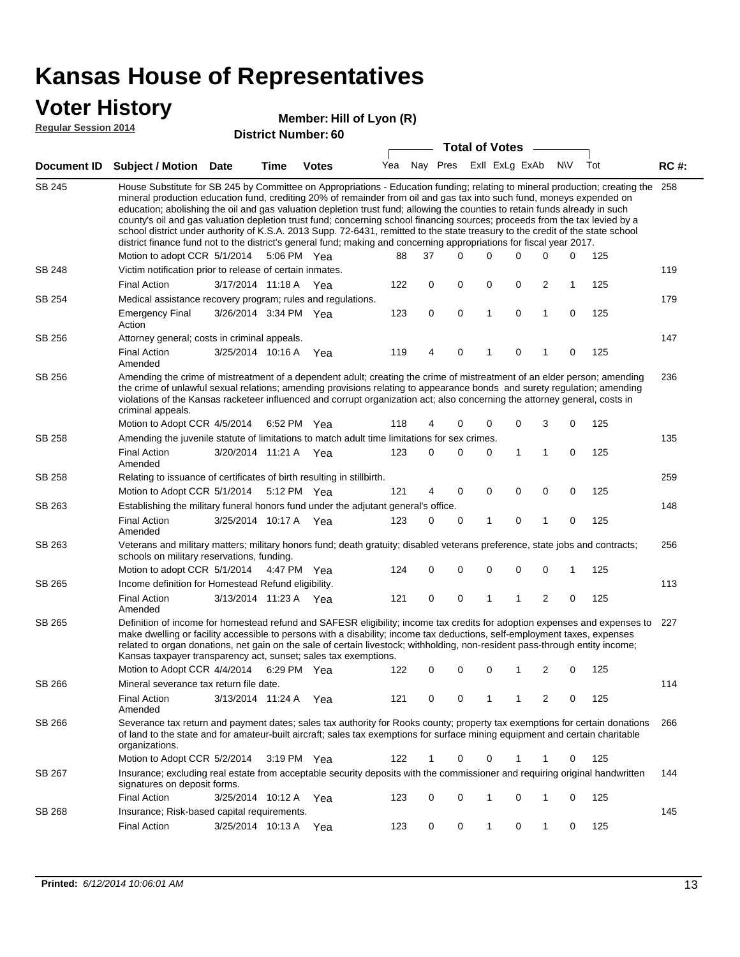#### **Voter History**

#### **Member: Hill of Lyon (R)**

**Regular Session 2014**

|                    | <b>Total of Votes</b>                                                                                                                                                                                                                                                                                                                                                                                                                                                                                                                                                                                                                                                                                                                                                                                         |                       |                       |              |     |    |          |          |   |                         |                |             |     |             |
|--------------------|---------------------------------------------------------------------------------------------------------------------------------------------------------------------------------------------------------------------------------------------------------------------------------------------------------------------------------------------------------------------------------------------------------------------------------------------------------------------------------------------------------------------------------------------------------------------------------------------------------------------------------------------------------------------------------------------------------------------------------------------------------------------------------------------------------------|-----------------------|-----------------------|--------------|-----|----|----------|----------|---|-------------------------|----------------|-------------|-----|-------------|
| <b>Document ID</b> | <b>Subject / Motion Date</b>                                                                                                                                                                                                                                                                                                                                                                                                                                                                                                                                                                                                                                                                                                                                                                                  |                       | Time                  | <b>Votes</b> | Yea |    |          |          |   | Nay Pres ExII ExLg ExAb | <b>NV</b>      |             | Tot | <b>RC#:</b> |
| <b>SB 245</b>      | House Substitute for SB 245 by Committee on Appropriations - Education funding; relating to mineral production; creating the<br>mineral production education fund, crediting 20% of remainder from oil and gas tax into such fund, moneys expended on<br>education; abolishing the oil and gas valuation depletion trust fund; allowing the counties to retain funds already in such<br>county's oil and gas valuation depletion trust fund; concerning school financing sources; proceeds from the tax levied by a<br>school district under authority of K.S.A. 2013 Supp. 72-6431, remitted to the state treasury to the credit of the state school<br>district finance fund not to the district's general fund; making and concerning appropriations for fiscal year 2017.<br>Motion to adopt CCR 5/1/2014 |                       |                       | 5:06 PM Yea  | 88  | 37 | $\Omega$ | $\Omega$ |   | 0                       | $\mathbf 0$    | 0           | 125 | 258         |
| SB 248             | Victim notification prior to release of certain inmates.                                                                                                                                                                                                                                                                                                                                                                                                                                                                                                                                                                                                                                                                                                                                                      |                       |                       |              |     |    |          |          |   |                         |                |             |     | 119         |
|                    | <b>Final Action</b>                                                                                                                                                                                                                                                                                                                                                                                                                                                                                                                                                                                                                                                                                                                                                                                           |                       | 3/17/2014 11:18 A Yea |              | 122 | 0  | 0        | 0        |   | 0                       | $\overline{c}$ | 1           | 125 |             |
| SB 254             | Medical assistance recovery program; rules and regulations.                                                                                                                                                                                                                                                                                                                                                                                                                                                                                                                                                                                                                                                                                                                                                   |                       |                       |              |     |    |          |          |   |                         |                |             |     | 179         |
|                    | <b>Emergency Final</b><br>Action                                                                                                                                                                                                                                                                                                                                                                                                                                                                                                                                                                                                                                                                                                                                                                              |                       | 3/26/2014 3:34 PM Yea |              | 123 | 0  | 0        |          | 1 | 0                       | $\mathbf{1}$   | 0           | 125 |             |
| SB 256             | Attorney general; costs in criminal appeals.                                                                                                                                                                                                                                                                                                                                                                                                                                                                                                                                                                                                                                                                                                                                                                  |                       |                       |              |     |    |          |          |   |                         |                |             |     | 147         |
|                    | <b>Final Action</b><br>Amended                                                                                                                                                                                                                                                                                                                                                                                                                                                                                                                                                                                                                                                                                                                                                                                | 3/25/2014 10:16 A     |                       | Yea          | 119 | 4  | 0        |          | 1 | 0                       | 1              | $\mathbf 0$ | 125 |             |
| SB 256             | Amending the crime of mistreatment of a dependent adult; creating the crime of mistreatment of an elder person; amending<br>the crime of unlawful sexual relations; amending provisions relating to appearance bonds and surety regulation; amending<br>violations of the Kansas racketeer influenced and corrupt organization act; also concerning the attorney general, costs in<br>criminal appeals.                                                                                                                                                                                                                                                                                                                                                                                                       |                       |                       |              |     |    |          |          |   |                         |                |             |     | 236         |
|                    | Motion to Adopt CCR 4/5/2014                                                                                                                                                                                                                                                                                                                                                                                                                                                                                                                                                                                                                                                                                                                                                                                  |                       |                       | 6:52 PM Yea  | 118 | 4  | 0        |          | 0 | 0                       | 3              | $\mathbf 0$ | 125 |             |
| SB 258             | Amending the juvenile statute of limitations to match adult time limitations for sex crimes.                                                                                                                                                                                                                                                                                                                                                                                                                                                                                                                                                                                                                                                                                                                  |                       |                       |              |     |    |          |          |   |                         |                |             |     | 135         |
|                    | <b>Final Action</b><br>Amended                                                                                                                                                                                                                                                                                                                                                                                                                                                                                                                                                                                                                                                                                                                                                                                |                       | 3/20/2014 11:21 A Yea |              | 123 | 0  | 0        |          | 0 | 1                       | $\mathbf{1}$   | $\mathbf 0$ | 125 |             |
| SB 258             | Relating to issuance of certificates of birth resulting in stillbirth.                                                                                                                                                                                                                                                                                                                                                                                                                                                                                                                                                                                                                                                                                                                                        |                       |                       |              |     |    |          |          |   |                         |                |             |     | 259         |
|                    | Motion to Adopt CCR 5/1/2014 5:12 PM Yea                                                                                                                                                                                                                                                                                                                                                                                                                                                                                                                                                                                                                                                                                                                                                                      |                       |                       |              | 121 | 4  | 0        |          | 0 | 0                       | 0              | $\mathbf 0$ | 125 |             |
| SB 263             | Establishing the military funeral honors fund under the adjutant general's office.<br><b>Final Action</b>                                                                                                                                                                                                                                                                                                                                                                                                                                                                                                                                                                                                                                                                                                     |                       | 3/25/2014 10:17 A Yea |              | 123 | 0  | 0        |          | 1 | 0                       | $\mathbf{1}$   | $\mathbf 0$ | 125 | 148         |
|                    | Amended                                                                                                                                                                                                                                                                                                                                                                                                                                                                                                                                                                                                                                                                                                                                                                                                       |                       |                       |              |     |    |          |          |   |                         |                |             |     |             |
| SB 263             | Veterans and military matters; military honors fund; death gratuity; disabled veterans preference, state jobs and contracts;<br>schools on military reservations, funding.<br>Motion to adopt CCR 5/1/2014                                                                                                                                                                                                                                                                                                                                                                                                                                                                                                                                                                                                    |                       |                       | 4:47 PM Yea  | 124 | 0  | 0        |          | 0 | 0                       | $\mathbf 0$    | 1           | 125 | 256         |
| SB 265             | Income definition for Homestead Refund eligibility.                                                                                                                                                                                                                                                                                                                                                                                                                                                                                                                                                                                                                                                                                                                                                           |                       |                       |              |     |    |          |          |   |                         |                |             |     | 113         |
|                    | <b>Final Action</b><br>Amended                                                                                                                                                                                                                                                                                                                                                                                                                                                                                                                                                                                                                                                                                                                                                                                | 3/13/2014 11:23 A Yea |                       |              | 121 | 0  | 0        |          | 1 | 1                       | 2              | 0           | 125 |             |
| SB 265             | Definition of income for homestead refund and SAFESR eligibility; income tax credits for adoption expenses and expenses to 227<br>make dwelling or facility accessible to persons with a disability; income tax deductions, self-employment taxes, expenses<br>related to organ donations, net gain on the sale of certain livestock; withholding, non-resident pass-through entity income;<br>Kansas taxpayer transparency act, sunset; sales tax exemptions.<br>Motion to Adopt CCR 4/4/2014                                                                                                                                                                                                                                                                                                                |                       |                       | 6:29 PM Yea  | 122 | 0  | 0        | 0        |   | 1                       | 2              | 0           | 125 |             |
| SB 266             | Mineral severance tax return file date.                                                                                                                                                                                                                                                                                                                                                                                                                                                                                                                                                                                                                                                                                                                                                                       |                       |                       |              |     |    |          |          |   |                         |                |             |     | 114         |
|                    | <b>Final Action</b><br>Amended                                                                                                                                                                                                                                                                                                                                                                                                                                                                                                                                                                                                                                                                                                                                                                                |                       | 3/13/2014 11:24 A     | Yea          | 121 | 0  | 0        |          | 1 | 1                       | 2              | 0           | 125 |             |
| SB 266             | Severance tax return and payment dates; sales tax authority for Rooks county; property tax exemptions for certain donations<br>of land to the state and for amateur-built aircraft; sales tax exemptions for surface mining equipment and certain charitable<br>organizations.                                                                                                                                                                                                                                                                                                                                                                                                                                                                                                                                |                       |                       |              |     |    |          |          |   |                         |                |             |     | 266         |
|                    | Motion to Adopt CCR 5/2/2014                                                                                                                                                                                                                                                                                                                                                                                                                                                                                                                                                                                                                                                                                                                                                                                  |                       |                       | 3:19 PM Yea  | 122 | 1  | 0        | 0        |   | 1                       | 1              | 0           | 125 |             |
| SB 267             | Insurance; excluding real estate from acceptable security deposits with the commissioner and requiring original handwritten<br>signatures on deposit forms.                                                                                                                                                                                                                                                                                                                                                                                                                                                                                                                                                                                                                                                   |                       |                       |              |     |    |          |          |   |                         |                |             |     | 144         |
|                    | <b>Final Action</b>                                                                                                                                                                                                                                                                                                                                                                                                                                                                                                                                                                                                                                                                                                                                                                                           |                       | 3/25/2014 10:12 A     | Yea          | 123 | 0  | 0        |          | 1 | 0                       | 1              | 0           | 125 |             |
| SB 268             | Insurance; Risk-based capital requirements.                                                                                                                                                                                                                                                                                                                                                                                                                                                                                                                                                                                                                                                                                                                                                                   |                       |                       |              |     |    |          |          |   |                         |                |             |     | 145         |
|                    | <b>Final Action</b>                                                                                                                                                                                                                                                                                                                                                                                                                                                                                                                                                                                                                                                                                                                                                                                           |                       | 3/25/2014 10:13 A Yea |              | 123 | 0  | 0        |          | 1 | 0                       | 1              | 0           | 125 |             |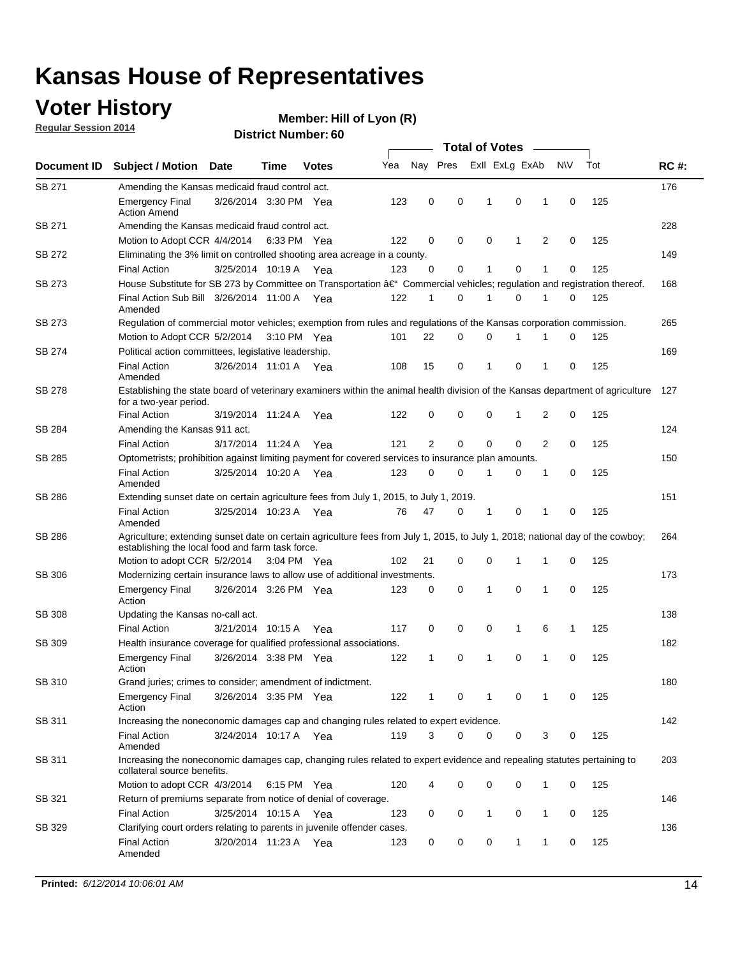### **Voter History**

**Regular Session 2014**

#### **Member: Hill of Lyon (R)**

|               |                                                                                                                                                                                    |                       |             |              |     |    |          |   | <b>Total of Votes</b> |   |   |             |     |             |
|---------------|------------------------------------------------------------------------------------------------------------------------------------------------------------------------------------|-----------------------|-------------|--------------|-----|----|----------|---|-----------------------|---|---|-------------|-----|-------------|
| Document ID   | <b>Subject / Motion</b>                                                                                                                                                            | <b>Date</b>           | Time        | <b>Votes</b> | Yea |    | Nay Pres |   | Exll ExLg ExAb        |   |   | <b>NV</b>   | Tot | <b>RC#:</b> |
| SB 271        | Amending the Kansas medicaid fraud control act.                                                                                                                                    |                       |             |              |     |    |          |   |                       |   |   |             |     | 176         |
|               | <b>Emergency Final</b><br><b>Action Amend</b>                                                                                                                                      | 3/26/2014 3:30 PM Yea |             |              | 123 | 0  | 0        |   | 1                     | 0 | 1 | 0           | 125 |             |
| SB 271        | Amending the Kansas medicaid fraud control act.                                                                                                                                    |                       |             |              |     |    |          |   |                       |   |   |             |     | 228         |
|               | Motion to Adopt CCR 4/4/2014 6:33 PM Yea                                                                                                                                           |                       |             |              | 122 | 0  | 0        |   | 0                     | 1 | 2 | 0           | 125 |             |
| SB 272        | Eliminating the 3% limit on controlled shooting area acreage in a county.                                                                                                          |                       |             |              |     |    |          |   |                       |   |   |             |     | 149         |
|               | <b>Final Action</b>                                                                                                                                                                | 3/25/2014 10:19 A Yea |             |              | 123 | 0  |          | 0 | $\mathbf{1}$          | 0 | 1 | 0           | 125 |             |
| SB 273        | House Substitute for SB 273 by Committee on Transportation â€ <sup>4</sup> Commercial vehicles; regulation and registration thereof.                                               |                       |             |              |     |    |          |   |                       |   |   |             |     | 168         |
|               | Final Action Sub Bill 3/26/2014 11:00 A Yea<br>Amended                                                                                                                             |                       |             |              | 122 | 1  |          | 0 | 1                     | 0 | 1 | 0           | 125 |             |
| SB 273        | Regulation of commercial motor vehicles; exemption from rules and regulations of the Kansas corporation commission.                                                                |                       |             |              |     |    |          |   |                       |   |   |             |     | 265         |
|               | Motion to Adopt CCR 5/2/2014                                                                                                                                                       |                       | 3:10 PM Yea |              | 101 | 22 |          | 0 | 0                     | 1 |   | 0           | 125 |             |
| SB 274        | Political action committees, legislative leadership.                                                                                                                               |                       |             |              |     |    |          |   |                       |   |   |             |     | 169         |
|               | <b>Final Action</b><br>Amended                                                                                                                                                     | 3/26/2014 11:01 A Yea |             |              | 108 | 15 |          | 0 | 1                     | 0 | 1 | 0           | 125 |             |
| SB 278        | Establishing the state board of veterinary examiners within the animal health division of the Kansas department of agriculture<br>for a two-year period.                           |                       |             |              |     |    |          |   |                       |   |   |             |     | 127         |
|               | <b>Final Action</b>                                                                                                                                                                | 3/19/2014 11:24 A     |             | Yea          | 122 | 0  |          | 0 | 0                     | 1 | 2 | 0           | 125 |             |
| SB 284        | Amending the Kansas 911 act.                                                                                                                                                       |                       |             |              |     |    |          |   |                       |   |   |             |     | 124         |
|               | <b>Final Action</b>                                                                                                                                                                | 3/17/2014 11:24 A     |             | Yea          | 121 | 2  |          | 0 | 0                     | 0 | 2 | 0           | 125 |             |
| SB 285        | Optometrists; prohibition against limiting payment for covered services to insurance plan amounts.                                                                                 |                       |             |              |     |    |          |   |                       |   |   |             |     | 150         |
|               | <b>Final Action</b><br>Amended                                                                                                                                                     | 3/25/2014 10:20 A Yea |             |              | 123 | 0  |          | 0 | 1                     | 0 | 1 | 0           | 125 |             |
| SB 286        | Extending sunset date on certain agriculture fees from July 1, 2015, to July 1, 2019.                                                                                              |                       |             |              |     |    |          |   |                       |   |   |             |     | 151         |
|               | <b>Final Action</b><br>Amended                                                                                                                                                     | 3/25/2014 10:23 A Yea |             |              | 76  | 47 |          | 0 | 1                     | 0 | 1 | 0           | 125 |             |
| SB 286        | Agriculture; extending sunset date on certain agriculture fees from July 1, 2015, to July 1, 2018; national day of the cowboy;<br>establishing the local food and farm task force. |                       |             |              |     |    |          |   |                       |   |   |             |     | 264         |
|               | Motion to adopt CCR 5/2/2014 3:04 PM Yea                                                                                                                                           |                       |             |              | 102 | 21 |          | 0 | 0                     | 1 | 1 | 0           | 125 |             |
| SB 306        | Modernizing certain insurance laws to allow use of additional investments.                                                                                                         |                       |             |              |     |    |          |   |                       |   |   |             |     | 173         |
|               | <b>Emergency Final</b><br>Action                                                                                                                                                   | 3/26/2014 3:26 PM Yea |             |              | 123 | 0  | 0        |   | 1                     | 0 | 1 | $\mathbf 0$ | 125 |             |
| <b>SB 308</b> | Updating the Kansas no-call act.                                                                                                                                                   |                       |             |              |     |    |          |   |                       |   |   |             |     | 138         |
|               | <b>Final Action</b>                                                                                                                                                                | 3/21/2014 10:15 A     |             | Yea          | 117 | 0  | 0        |   | 0                     | 1 | 6 | 1           | 125 |             |
| SB 309        | Health insurance coverage for qualified professional associations.                                                                                                                 |                       |             |              |     |    |          |   |                       |   |   |             |     | 182         |
|               | <b>Emergency Final</b><br>Action                                                                                                                                                   | 3/26/2014 3:38 PM Yea |             |              | 122 | 1  |          | 0 | 1                     | 0 | 1 | 0           | 125 |             |
| SB 310        | Grand juries; crimes to consider; amendment of indictment.                                                                                                                         |                       |             |              |     |    |          |   |                       |   |   |             |     | 180         |
|               | <b>Emergency Final</b><br>Action                                                                                                                                                   | 3/26/2014 3:35 PM Yea |             |              | 122 | 1  |          | 0 | 1                     | 0 | 1 | 0           | 125 |             |
| SB 311        | Increasing the noneconomic damages cap and changing rules related to expert evidence.                                                                                              |                       |             |              |     |    |          |   |                       |   |   |             |     | 142         |
|               | <b>Final Action</b><br>Amended                                                                                                                                                     | 3/24/2014 10:17 A Yea |             |              | 119 | 3  |          | 0 | 0                     | 0 | 3 | 0           | 125 |             |
| SB 311        | Increasing the noneconomic damages cap, changing rules related to expert evidence and repealing statutes pertaining to<br>collateral source benefits.                              |                       |             |              |     |    |          |   |                       |   |   |             |     | 203         |
|               | Motion to adopt CCR 4/3/2014 6:15 PM Yea                                                                                                                                           |                       |             |              | 120 | 4  |          | 0 | 0                     | 0 | 1 | 0           | 125 |             |
| SB 321        | Return of premiums separate from notice of denial of coverage.                                                                                                                     |                       |             |              |     |    |          |   |                       |   |   |             |     | 146         |
|               | <b>Final Action</b>                                                                                                                                                                | 3/25/2014 10:15 A Yea |             |              | 123 | 0  |          | 0 | 1                     | 0 | 1 | 0           | 125 |             |
| SB 329        | Clarifying court orders relating to parents in juvenile offender cases.                                                                                                            |                       |             |              |     |    |          |   |                       |   |   |             |     | 136         |
|               | <b>Final Action</b><br>Amended                                                                                                                                                     | 3/20/2014 11:23 A Yea |             |              | 123 | 0  |          | 0 | 0                     | 1 | 1 | 0           | 125 |             |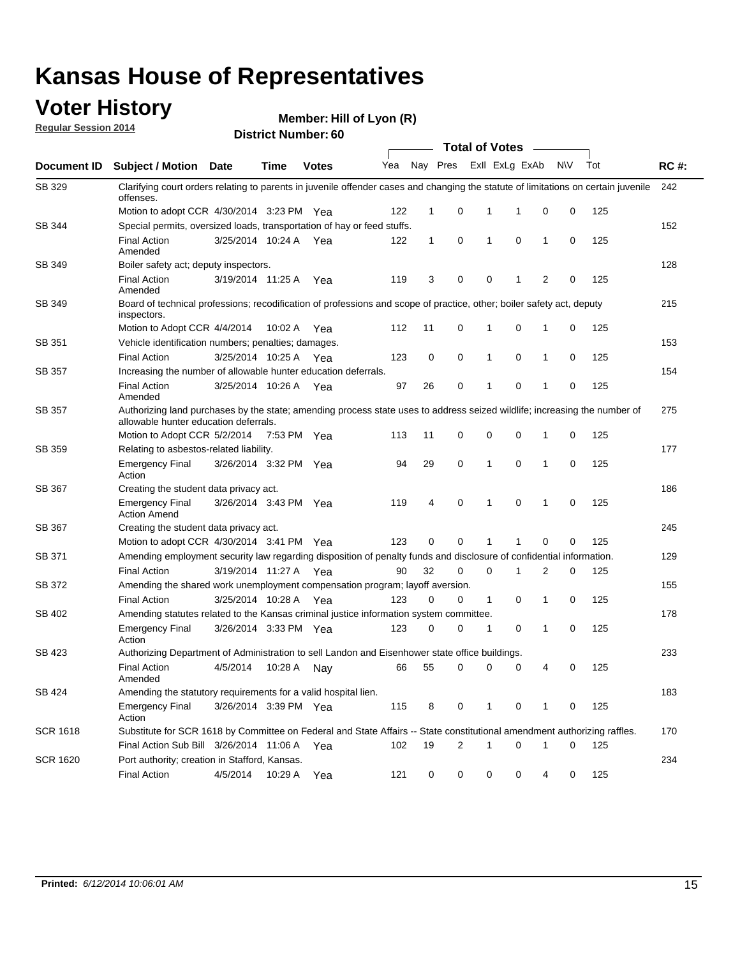#### **Voter History**

**Regular Session 2014**

| <b>District Number: 60</b> |  |
|----------------------------|--|
|                            |  |

|                    |                                                                                                                                                                    |                       |             |              |     |              |   | <b>Total of Votes</b> |                |              |           |     |             |
|--------------------|--------------------------------------------------------------------------------------------------------------------------------------------------------------------|-----------------------|-------------|--------------|-----|--------------|---|-----------------------|----------------|--------------|-----------|-----|-------------|
| <b>Document ID</b> | <b>Subject / Motion Date</b>                                                                                                                                       |                       | Time        | <b>Votes</b> | Yea | Nay Pres     |   |                       | Exll ExLg ExAb |              | <b>NV</b> | Tot | <b>RC#:</b> |
| SB 329             | Clarifying court orders relating to parents in juvenile offender cases and changing the statute of limitations on certain juvenile<br>offenses.                    |                       |             |              |     |              |   |                       |                |              |           |     | 242         |
|                    | Motion to adopt CCR 4/30/2014 3:23 PM Yea                                                                                                                          |                       |             |              | 122 | 1            | 0 | 1                     | 1              | 0            | 0         | 125 |             |
| <b>SB 344</b>      | Special permits, oversized loads, transportation of hay or feed stuffs.                                                                                            |                       |             |              |     |              |   |                       |                |              |           |     | 152         |
|                    | <b>Final Action</b><br>Amended                                                                                                                                     | 3/25/2014 10:24 A     |             | Yea          | 122 | $\mathbf{1}$ | 0 | 1                     | $\mathbf 0$    | 1            | 0         | 125 |             |
| SB 349             | Boiler safety act; deputy inspectors.                                                                                                                              |                       |             |              |     |              |   |                       |                |              |           |     | 128         |
|                    | <b>Final Action</b><br>Amended                                                                                                                                     | 3/19/2014 11:25 A     |             | Yea          | 119 | 3            | 0 | 0                     | 1              | 2            | 0         | 125 |             |
| SB 349             | Board of technical professions; recodification of professions and scope of practice, other; boiler safety act, deputy<br>inspectors.                               |                       |             |              |     |              |   |                       |                |              |           |     | 215         |
|                    | Motion to Adopt CCR 4/4/2014                                                                                                                                       |                       | 10:02 A     | Yea          | 112 | 11           | 0 | 1                     | 0              | 1            | 0         | 125 |             |
| SB 351             | Vehicle identification numbers; penalties; damages.                                                                                                                |                       |             |              |     |              |   |                       |                |              |           |     | 153         |
|                    | <b>Final Action</b>                                                                                                                                                | 3/25/2014 10:25 A     |             | Yea          | 123 | 0            | 0 | 1                     | 0              | 1            | 0         | 125 |             |
| SB 357             | Increasing the number of allowable hunter education deferrals.                                                                                                     |                       |             |              |     |              |   |                       |                |              |           |     | 154         |
|                    | <b>Final Action</b><br>Amended                                                                                                                                     | 3/25/2014 10:26 A     |             | Yea          | 97  | 26           | 0 | 1                     | 0              | 1            | 0         | 125 |             |
| SB 357             | Authorizing land purchases by the state; amending process state uses to address seized wildlife; increasing the number of<br>allowable hunter education deferrals. |                       |             |              |     |              |   |                       |                |              |           |     | 275         |
|                    | Motion to Adopt CCR 5/2/2014                                                                                                                                       |                       | 7:53 PM Yea |              | 113 | 11           | 0 | 0                     | $\mathbf 0$    | 1            | 0         | 125 |             |
| SB 359             | Relating to asbestos-related liability.                                                                                                                            |                       |             |              |     |              |   |                       |                |              |           |     | 177         |
|                    | <b>Emergency Final</b><br>Action                                                                                                                                   | 3/26/2014 3:32 PM Yea |             |              | 94  | 29           | 0 | 1                     | $\mathbf 0$    | 1            | 0         | 125 |             |
| <b>SB 367</b>      | Creating the student data privacy act.                                                                                                                             |                       |             |              |     |              |   |                       |                |              |           |     | 186         |
|                    | <b>Emergency Final</b><br><b>Action Amend</b>                                                                                                                      | 3/26/2014 3:43 PM Yea |             |              | 119 | 4            | 0 | 1                     | $\mathbf 0$    | $\mathbf{1}$ | 0         | 125 |             |
| SB 367             | Creating the student data privacy act.                                                                                                                             |                       |             |              |     |              |   |                       |                |              |           |     | 245         |
|                    | Motion to adopt CCR 4/30/2014 3:41 PM Yea                                                                                                                          |                       |             |              | 123 | 0            | 0 | 1                     |                | $\mathbf 0$  | 0         | 125 |             |
| SB 371             | Amending employment security law regarding disposition of penalty funds and disclosure of confidential information.                                                |                       |             |              |     |              |   |                       |                |              |           |     | 129         |
|                    | <b>Final Action</b>                                                                                                                                                | 3/19/2014 11:27 A     |             | Yea          | 90  | 32           | 0 | $\mathbf 0$           | 1              | 2            | 0         | 125 |             |
| <b>SB 372</b>      | Amending the shared work unemployment compensation program; layoff aversion.                                                                                       |                       |             |              |     |              |   |                       |                |              |           |     | 155         |
|                    | <b>Final Action</b>                                                                                                                                                | 3/25/2014 10:28 A     |             | Yea          | 123 | 0            | 0 | 1                     | 0              | 1            | 0         | 125 |             |
| SB 402             | Amending statutes related to the Kansas criminal justice information system committee.                                                                             |                       |             |              |     |              |   |                       |                |              |           |     | 178         |
|                    | <b>Emergency Final</b><br>Action                                                                                                                                   | 3/26/2014 3:33 PM Yea |             |              | 123 | 0            | 0 | 1                     | 0              | 1            | 0         | 125 |             |
| SB 423             | Authorizing Department of Administration to sell Landon and Eisenhower state office buildings.                                                                     |                       |             |              |     |              |   |                       |                |              |           |     | 233         |
|                    | <b>Final Action</b><br>Amended                                                                                                                                     | 4/5/2014              | 10:28 A     | Nay          | 66  | 55           | 0 | 0                     | 0              | 4            | 0         | 125 |             |
| SB 424             | Amending the statutory requirements for a valid hospital lien.                                                                                                     |                       |             |              |     |              |   |                       |                |              |           |     | 183         |
|                    | <b>Emergency Final</b><br>Action                                                                                                                                   | 3/26/2014 3:39 PM Yea |             |              | 115 | 8            | 0 | 1                     | 0              | 1            | 0         | 125 |             |
| SCR 1618           | Substitute for SCR 1618 by Committee on Federal and State Affairs -- State constitutional amendment authorizing raffles.                                           |                       |             |              |     |              |   |                       |                |              |           |     | 170         |
|                    | Final Action Sub Bill 3/26/2014 11:06 A Yea                                                                                                                        |                       |             |              | 102 | 19           | 2 | 1                     | $\mathbf 0$    | 1            | 0         | 125 |             |
| SCR 1620           | Port authority; creation in Stafford, Kansas.                                                                                                                      |                       |             |              |     |              |   |                       |                |              |           |     | 234         |
|                    | <b>Final Action</b>                                                                                                                                                | 4/5/2014              | 10:29 A     | Yea          | 121 | 0            | 0 | 0                     | 0              | 4            | 0         | 125 |             |